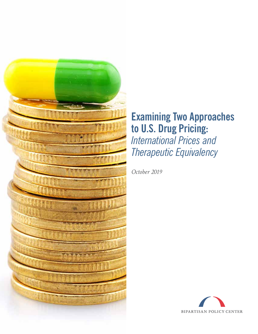

# **Examining Two Approaches to U.S. Drug Pricing:** *International Prices and Therapeutic Equivalency*

*October 2019*

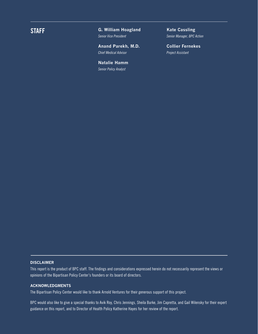**STAFF G. William Hoagland**  *Senior Vice President* 

> **Anand Parekh, M.D.**  *Chief Medical Advisor*

**Natalie Hamm**  *Senior Policy Analyst* 

**Kate Cassling** *Senior Manager, BPC Action* 

**Collier Fernekes** *Project Assistant*

#### **DISCLAIMER**

This report is the product of BPC staff. The findings and considerations expressed herein do not necessarily represent the views or opinions of the Bipartisan Policy Center's founders or its board of directors.

#### **ACKNOWLEDGMENTS**

The Bipartisan Policy Center would like to thank Arnold Ventures for their generous support of this project.

BPC would also like to give a special thanks to Avik Roy, Chris Jennings, Sheila Burke, Jim Capretta, and Gail Wilensky for their expert guidance on this report, and to Director of Health Policy Katherine Hayes for her review of the report.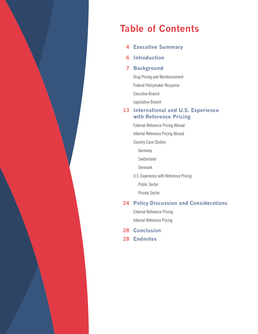

# **Table of Contents**

- **Executive Summary 4**
- **Introduction 6**

#### **Background 7**

Drug Pricing and Reimbursement Federal Policymaker Response

Executive Branch

Legislative Branch

#### **International and U.S. Experience 13 with Reference Pricing**

External Reference Pricing Abroad

Internal Reference Pricing Abroad

Country Case Studies

Germany

**Switzerland** 

**Denmark** 

U.S. Experience with Reference Pricing

Public Sector

Private Sector

#### **Policy Discussion and Considerations 24**

External Reference Pricing Internal Reference Pricing

- **Conclusion 28**
- **Endnotes 28**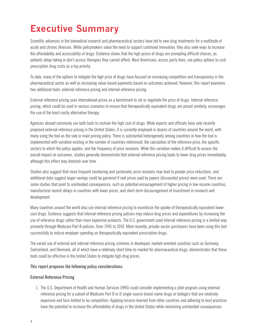# **Executive Summary**

Scientific advances in the biomedical research and pharmaceutical sectors have led to new drug treatments for a multitude of acute and chronic illnesses. While policymakers value the need to support continued innovation, they also seek ways to increase the affordability and accessibility of drugs. Evidence shows that the high prices of drugs are prompting difficult choices, as patients delay taking or don't access therapies they cannot afford. Most Americans, across party lines, see policy options to curb prescription drug costs as a top priority.

To date, many of the options to mitigate the high price of drugs have focused on increasing competition and transparency in the pharmaceutical sector as well as increasing value-based payments based on outcomes achieved. However, this report examines two additional tools: external reference pricing and internal reference pricing.

External reference pricing uses international prices as a benchmark to set or negotiate the price of drugs. Internal reference pricing, which could be used in various scenarios to ensure that therapeutically equivalent drugs are priced similarly, encourages the use of the least costly alternative therapy.

Agencies abroad commonly use both tools to restrain the high cost of drugs. While experts and officials have only recently proposed external reference pricing in the United States, it is currently employed in dozens of countries around the world, with many using the tool as the sole or main pricing policy. There is substantial heterogeneity among countries in how the tool is implemented with variation existing in the number of countries referenced, the calculation of the reference price, the specific sectors to which the policy applies, and the frequency of price revisions. While this variation makes it difficult to assess the overall impact on outcomes, studies generally demonstrate that external reference pricing leads to lower drug prices immediately, although this effect may diminish over time.

Studies also suggest that more frequent monitoring and systematic price revisions may lead to greater price reductions, and additional data suggest larger savings could be garnered if real prices paid by payers (discounted prices) were used. There are some studies that point to unintended consequences, such as potential encouragement of higher pricing in low-income countries, manufacturer launch delays in countries with lower prices, and short-term discouragement of investment in research and development.

Many countries around the world also use internal reference pricing to incentivize the uptake of therapeutically equivalent lowercost drugs. Evidence suggests that internal reference pricing policies may reduce drug prices and expenditures by increasing the use of reference drugs rather than more expensive products. The U.S. government used internal reference pricing in a limited way, primarily through Medicare Part B policies, from 1995 to 2010. More recently, private-sector purchasers have been using this tool successfully to reduce employer spending on therapeutically equivalent prescription drugs.

The varied use of external and internal reference pricing schemes in developed, market-oriented countries such as Germany, Switzerland, and Denmark, all of which have a relatively short time-to-market for pharmaceutical drugs, demonstrates that these tools could be effective in the United States to mitigate high drug prices.

#### **This report proposes the following policy considerations:**

#### **External Reference Pricing**

1. The U.S. Department of Health and Human Services (HHS) could consider implementing a pilot program using external reference pricing for a subset of Medicare Part B or D single-source brand-name drugs or biologics that are relatively expensive and face limited to no competition. Applying lessons learned from other countries and adhering to best practices have the potential to increase the affordability of drugs in the United States while minimizing unintended consequences.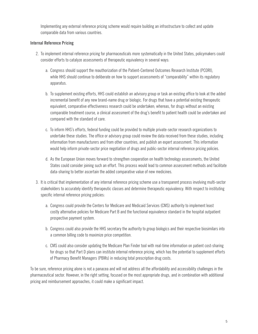Implementing any external reference pricing scheme would require building an infrastructure to collect and update comparable data from various countries.

#### **Internal Reference Pricing**

- 2. To implement internal reference pricing for pharmaceuticals more systematically in the United States, policymakers could consider efforts to catalyze assessments of therapeutic equivalency in several ways:
	- a. Congress should support the reauthorization of the Patient-Centered Outcomes Research Institute (PCORI), while HHS should continue to deliberate on how to support assessments of "comparability" within its regulatory apparatus.
	- b. To supplement existing efforts, HHS could establish an advisory group or task an existing office to look at the added incremental benefit of any new brand-name drug or biologic. For drugs that have a potential existing therapeutic equivalent, comparative effectiveness research could be undertaken; whereas, for drugs without an existing comparable treatment course, a clinical assessment of the drug's benefit to patient health could be undertaken and compared with the standard of care.
	- c. To inform HHS's efforts, federal funding could be provided to multiple private-sector research organizations to undertake these studies. The office or advisory group could review the data received from these studies, including information from manufacturers and from other countries, and publish an expert assessment. This information would help inform private-sector price negotiation of drugs and public-sector internal reference pricing policies.
	- d. As the European Union moves forward to strengthen cooperation on health technology assessments, the United States could consider joining such an effort. This process would lead to common assessment methods and facilitate data-sharing to better ascertain the added comparative value of new medicines.
- 3. It is critical that implementation of any internal reference pricing scheme use a transparent process involving multi-sector stakeholders to accurately identify therapeutic classes and determine therapeutic equivalency. With respect to instituting specific internal reference pricing policies:
	- a. Congress could provide the Centers for Medicare and Medicaid Services (CMS) authority to implement least costly alternative policies for Medicare Part B and the functional equivalence standard in the hospital outpatient prospective payment system.
	- b. Congress could also provide the HHS secretary the authority to group biologics and their respective biosimilars into a common billing code to maximize price competition.
	- c. CMS could also consider updating the Medicare Plan Finder tool with real-time information on patient cost-sharing for drugs so that Part D plans can institute internal reference pricing, which has the potential to supplement efforts of Pharmacy Benefit Managers (PBMs) in reducing total prescription drug costs.

To be sure, reference pricing alone is not a panacea and will not address all the affordability and accessibility challenges in the pharmaceutical sector. However, in the right setting, focused on the most appropriate drugs, and in combination with additional pricing and reimbursement approaches, it could make a significant impact.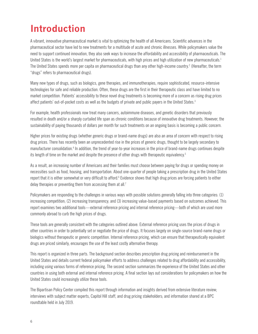# **Introduction**

A vibrant, innovative pharmaceutical market is vital to optimizing the health of all Americans. Scientific advances in the pharmaceutical sector have led to new treatments for a multitude of acute and chronic illnesses. While policymakers value the need to support continued innovation, they also seek ways to increase the affordability and accessibility of pharmaceuticals. The United States is the world's largest market for pharmaceuticals, with high prices and high utilization of new pharmaceuticals.<sup>1</sup> The United States spends more per capita on pharmaceutical drugs than any other high-income country.2 (Hereafter, the term "drugs" refers to pharmaceutical drugs).

Many new types of drugs, such as biologics, gene therapies, and immunotherapies, require sophisticated, resource-intensive technologies for safe and reliable production. Often, these drugs are the first in their therapeutic class and have limited to no market competition. Patients' accessibility to these novel drug treatments is becoming more of a concern as rising drug prices affect patients' out-of-pocket costs as well as the budgets of private and public payers in the United States.3

For example, health professionals now treat many cancers, autoimmune diseases, and genetic disorders that previously resulted in death and/or a sharply curtailed life span as chronic conditions because of innovative drug treatments. However, the sustainability of paying thousands of dollars per month for such treatments on an ongoing basis is becoming a public concern.

Higher prices for existing drugs (whether generic drugs or brand-name drugs) are also an area of concern with respect to rising drug prices. There has recently been an unprecedented rise in the prices of generic drugs, thought to be largely secondary to manufacturer consolidation.<sup>4</sup> In addition, the trend of year-to-year increases in the price of brand-name drugs continues despite its length of time on the market and despite the presence of other drugs with therapeutic equivalency.<sup>5</sup>

As a result, an increasing number of Americans and their families must choose between paying for drugs or spending money on necessities such as food, housing, and transportation. About one-quarter of people taking a prescription drug in the United States report that it is either somewhat or very difficult to afford.<sup>6</sup> Evidence shows that high drug prices are forcing patients to either delay therapies or preventing them from accessing them at all.<sup>7</sup>

Policymakers are responding to the challenges in various ways with possible solutions generally falling into three categories: (1) increasing competition; (2) increasing transparency; and (3) increasing value-based payments based on outcomes achieved. This report examines two additional tools—external reference pricing and internal reference pricing—both of which are used more commonly abroad to curb the high prices of drugs.

These tools are generally consistent with the categories outlined above. External reference pricing uses the prices of drugs in other countries in order to potentially set or negotiate the price of drugs. It focuses largely on single-source brand-name drugs or biologics without therapeutic or generic competition. Internal reference pricing, which can ensure that therapeutically equivalent drugs are priced similarly, encourages the use of the least costly alternative therapy.

This report is organized in three parts. The background section describes prescription drug pricing and reimbursement in the United States and details current federal policymaker efforts to address challenges related to drug affordability and accessibility, including using various forms of reference pricing. The second section summarizes the experience of the United States and other countries in using both external and internal reference pricing. A final section lays out considerations for policymakers on how the United States could increasingly utilize these tools.

The Bipartisan Policy Center compiled this report through information and insights derived from extensive literature review; interviews with subject matter experts, Capitol Hill staff, and drug pricing stakeholders; and information shared at a BPC roundtable held in July 2019.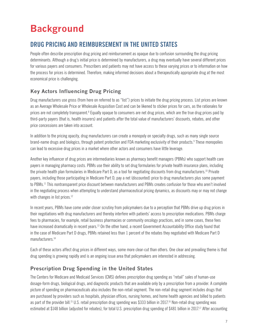# **Background**

# **DRUG PRICING AND REIMBURSEMENT IN THE UNITED STATES**

People often describe prescription drug pricing and reimbursement as opaque due to confusion surrounding the drug pricing determinants. Although a drug's initial price is determined by manufacturers, a drug may eventually have several different prices for various payers and consumers. Prescribers and patients may not have access to these varying prices or to information on how the process for prices is determined. Therefore, making informed decisions about a therapeutically appropriate drug at the most economical price is challenging.

### **Key Actors Influencing Drug Pricing**

Drug manufacturers use gross (from here on referred to as "list") prices to initiate the drug pricing process. List prices are known as an Average Wholesale Price or Wholesale Acquisition Cost and can be likened to sticker prices for cars, as the rationales for prices are not completely transparent.<sup>8</sup> Equally opaque to consumers are net drug prices, which are the true drug prices paid by third-party payers (that is, health insurers) and patients after the total value of manufacturers' discounts, rebates, and other price concessions are taken into account.

In addition to the pricing opacity, drug manufacturers can create a monopoly on specialty drugs, such as many single source brand-name drugs and biologics, through patent protection and FDA marketing exclusivity of their products.<sup>9</sup> These monopolies can lead to excessive drug prices in a market where other actors and consumers have little leverage.

Another key influencer of drug prices are intermediaries known as pharmacy benefit managers (PBMs) who support health care payers in managing pharmacy costs. PBMs use their ability to set drug formularies for private health insurance plans, including the private health plan formularies in Medicare Part D, as a tool for negotiating discounts from drug manufacturers.10 Private payers, including those participating in Medicare Part D, pay a net (discounted) price to drug manufacturers plus some payment to PBMs.<sup>11</sup> This nontransparent price discount between manufacturers and PBMs creates confusion for those who aren't involved in the negotiating process when attempting to understand pharmaceutical pricing dynamics, as discounts may or may not change with changes in list prices.<sup>12</sup>

In recent years, PBMs have come under closer scrutiny from policymakers due to a perception that PBMs drive up drug prices in their negotiations with drug manufacturers and thereby interfere with patients' access to prescription medications. PBMs charge fees to pharmacies, for example, retail business pharmacies or community oncology practices, and in some cases, these fees have increased dramatically in recent years.<sup>13</sup> On the other hand, a recent Government Accountability Office study found that in the case of Medicare Part D drugs, PBMs retained less than 1 percent of the rebates they negotiated with Medicare Part D manufacturers.<sup>14</sup>

Each of these actors affect drug prices in different ways, some more clear-cut than others. One clear and prevailing theme is that drug spending is growing rapidly and is an ongoing issue area that policymakers are interested in addressing.

### **Prescription Drug Spending in the United States**

The Centers for Medicare and Medicaid Services (CMS) defines prescription drug spending as "retail" sales of human-use dosage-form drugs, biological drugs, and diagnostic products that are available only by a prescription from a provider. A complete picture of spending on pharmaceuticals also includes the non-retail segment. The non-retail drug segment includes drugs that are purchased by providers such as hospitals, physician offices, nursing homes, and home health agencies and billed to patients as part of the provider bill.<sup>15</sup> U.S. retail prescription drug spending was \$333 billion in 2017.<sup>16</sup> Non-retail drug spending was estimated at \$148 billion (adjusted for rebates), for total U.S. prescription drug spending of \$481 billion in 2017.<sup>17</sup> After accounting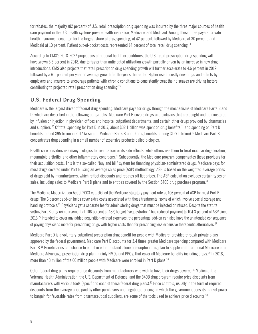for rebates, the majority (82 percent) of U.S. retail prescription drug spending was incurred by the three major sources of health care payment in the U.S. health system: private health insurance, Medicare, and Medicaid. Among these three payers, private health insurance accounted for the largest share of drug spending, at 42 percent, followed by Medicare at 30 percent, and Medicaid at 10 percent. Patient out-of-pocket costs represented 14 percent of total retail drug spending.<sup>18</sup>

According to CMS's 2018-2027 projections of national health expenditures, the U.S. retail prescription drug spending will have grown 3.3 percent in 2018, due to faster than anticipated utilization growth partially driven by an increase in new drug introductions. CMS also projects that retail prescription drug spending growth will further accelerate to 4.6 percent in 2019, followed by a 6.1 percent per year on average growth for the years thereafter. Higher use of costly new drugs and efforts by employers and insurers to encourage patients with chronic conditions to consistently treat their diseases are driving factors contributing to projected retail prescription drug spending.19

#### **U.S. Federal Drug Spending**

Medicare is the largest driver of federal drug spending. Medicare pays for drugs through the mechanisms of Medicare Parts B and D, which are described in the following paragraphs. Medicare Part B covers drugs and biologics that are bought and administered by infusion or injection in physician offices and hospital outpatient departments, and certain other drugs provided by pharmacies and suppliers.<sup>20</sup> Of total spending for Part B in 2017, about \$32.1 billion was spent on drug benefits,<sup>21</sup> and spending on Part D benefits totaled \$95 billion in 2017 (a sum of Medicare Parts B and D drug benefits totaling \$127.1 billion).<sup>22</sup> Medicare Part B concentrates drug spending in a small number of expensive products called biologics.

Health care providers use many biologics to treat cancer or its side effects, while others use them to treat macular degeneration, rheumatoid arthritis, and other inflammatory conditions.23 Subsequently, the Medicare program compensates these providers for their acquisition costs. This is the so-called "buy and bill" system for financing physician-administered drugs. Medicare pays for most drugs covered under Part B using an average sales price (ASP) methodology. ASP is based on the weighted-average prices of drugs sold by manufacturers, which reflect discounts and rebates off list prices. The ASP calculation excludes certain types of sales, including sales to Medicare Part D plans and to entities covered by the Section 340B drug purchase program.<sup>24</sup>

The Medicare Modernization Act of 2003 established the Medicare statutory payment rate at 106 percent of ASP for most Part B drugs. The 6 percent add-on helps cover extra costs associated with these treatments, some of which involve special storage and handling protocols.25 Physicians get a separate fee for administering drugs that must be injected or infused. Despite the statute setting Part B drug reimbursement at 106 percent of ASP, budget "sequestration" has reduced payment to 104.3 percent of ASP since 2013.26 Intended to cover any added acquisition-related expenses, the percentage add-on can also have the unintended consequence of paying physicians more for prescribing drugs with higher costs than for prescribing less expensive therapeutic alternatives.<sup>27</sup>

Medicare Part D is a voluntary outpatient prescription drug benefit for people with Medicare, provided through private plans approved by the federal government. Medicare Part D accounts for 3.4 times greater Medicare spending compared with Medicare Part B.<sup>28</sup> Beneficiaries can choose to enroll in either a stand-alone prescription drug plan to supplement traditional Medicare or a Medicare Advantage prescription drug plan, mainly HMOs and PPOs, that cover all Medicare benefits including drugs.<sup>29</sup> In 2018, more than 43 million of the 60 million people with Medicare were enrolled in Part D plans.<sup>30</sup>

Other federal drug plans require price discounts from manufacturers who wish to have their drugs covered.<sup>31</sup> Medicaid, the Veterans Health Administration, the U.S. Department of Defense, and the 340B drug program require price discounts from manufacturers with various tools (specific to each of these federal drug plans).<sup>32</sup> Price controls, usually in the form of required discounts from the average price paid by other purchasers and negotiated pricing, in which the government uses its market power to bargain for favorable rates from pharmaceutical suppliers, are some of the tools used to achieve price discounts.<sup>33</sup>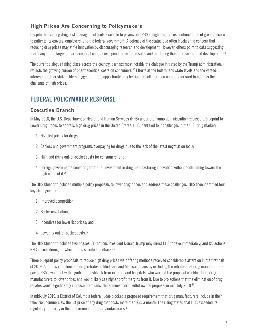### **High Prices Are Concerning to Policymakers**

Despite the existing drug cost-management tools available to payers and PBMs, high drug prices continue to be of great concern to patients, taxpayers, employers, and the federal government. A defense of the status quo often invokes the concern that reducing drug prices may stifle innovation by discouraging research and development. However, others point to data suggesting that many of the largest pharmaceutical companies spend far more on sales and marketing than on research and development.<sup>34</sup>

The current dialogue taking place across the country, perhaps most notably the dialogue initiated by the Trump administration, reflects the growing burden of pharmaceutical costs on consumers.35 Efforts at the federal and state levels and the vested interests of other stakeholders suggest that the opportunity may be ripe for collaboration on paths forward to address the challenge of high prices.

# **FEDERAL POLICYMAKER RESPONSE**

#### **Executive Branch**

In May 2018, the U.S. Department of Health and Human Services (HHS) under the Trump administration released a Blueprint to Lower Drug Prices to address high drug prices in the United States. HHS identified four challenges in the U.S. drug market:

- 1. High list prices for drugs;
- 2. Seniors and government programs overpaying for drugs due to the lack of the latest negotiation tools;
- 3. High and rising out-of-pocket costs for consumers; and
- 4. Foreign governments benefiting from U.S. investment in drug manufacturing innovation without contributing toward the high costs of it.<sup>36</sup>

The HHS blueprint includes multiple policy proposals to lower drug prices and address these challenges. HHS then identified four key strategies for reform:

- 1. Improved competition;
- 2. Better negotiation;
- 3. Incentives for lower list prices; and
- 4. Lowering out-of-pocket costs.37

The HHS blueprint includes two phases: (1) actions President Donald Trump may direct HHS to take immediately; and (2) actions HHS is considering for which it has solicited feedback.<sup>38</sup>

Three blueprint policy proposals to reduce high drug prices via differing methods received considerable attention in the first half of 2019. A proposal to eliminate drug rebates in Medicare and Medicaid plans by excluding the rebates that drug manufacturers pay to PBMs was met with significant pushback from insurers and hospitals, who worried the proposal wouldn't force drug manufacturers to lower prices and would likely see higher profit margins from it. Due to projections that the elimination of drug rebates would significantly increase premiums, the administration withdrew the proposal in mid-July 2019.<sup>39</sup>

In mid-July 2019, a District of Columbia federal judge blocked a proposed requirement that drug manufacturers include in their television commercials the list price of any drug that costs more than \$35 a month. The ruling stated that HHS exceeded its regulatory authority in this requirement of drug manufacturers.<sup>40</sup>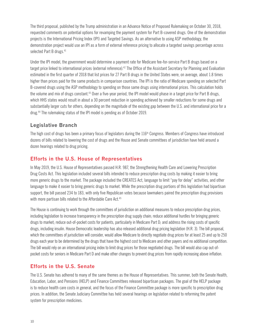The third proposal, published by the Trump administration in an Advance Notice of Proposed Rulemaking on October 30, 2018, requested comments on potential options for revamping the payment system for Part B-covered drugs. One of the demonstration projects is the International Pricing Index (IPI) and Targeted Savings. As an alternative to using ASP methodology, the demonstration project would use an IPI as a form of external reference pricing to allocate a targeted savings percentage across selected Part B drugs.<sup>41</sup>

Under the IPI model, the government would determine a payment rate for Medicare fee-for-service Part B drugs based on a target price linked to international prices (external reference).42 The Office of the Assistant Secretary for Planning and Evaluation estimated in the first quarter of 2018 that list prices for 27 Part B drugs in the United States were, on average, about 1.8 times higher than prices paid for the same products in comparison countries. The IPI is the ratio of Medicare spending on selected Part B-covered drugs using the ASP methodology to spending on those same drugs using international prices. This calculation holds the volume and mix of drugs constant.<sup>43</sup> Over a five-year period, the IPI model would phase in a target price for Part B drugs. which HHS states would result in about a 30 percent reduction in spending achieved by smaller reductions for some drugs and substantially larger cuts for others, depending on the magnitude of the existing gap between the U.S. and international price for a drug.44 The rulemaking status of the IPI model is pending as of October 2019.

#### **Legislative Branch**

The high cost of drugs has been a primary focus of legislators during the 116<sup>th</sup> Congress. Members of Congress have introduced dozens of bills related to lowering the cost of drugs and the House and Senate committees of jurisdiction have held around a dozen hearings related to drug pricing.

#### **Efforts in the U.S. House of Representatives**

In May 2019, the U.S. House of Representatives passed H.R. 987, the Strengthening Health Care and Lowering Prescription Drug Costs Act. This legislation included several bills intended to reduce prescription drug costs by making it easier to bring more generic drugs to the market. The package included the CREATES Act, language to limit "pay for delay" activities, and other language to make it easier to bring generic drugs to market. While the prescription drug portions of this legislation had bipartisan support, the bill passed 234 to 183, with only five Republican votes because lawmakers paired the prescription drug provisions with more partisan bills related to the Affordable Care Act.<sup>45</sup>

The House is continuing to work through the committees of jurisdiction on additional measures to reduce prescription drug prices, including legislation to increase transparency in the prescription drug supply chain; reduce additional hurdles for bringing generic drugs to market; reduce out-of-pocket costs for patients, particularly in Medicare Part D; and address the rising costs of specific drugs, including insulin. House Democratic leadership has also released additional drug pricing legislation (H.R. 3). The bill proposal, which the committees of jurisdiction will consider, would allow Medicare to directly negotiate drug prices for at least 25 and up to 250 drugs each year to be determined by the drugs that have the highest cost to Medicare and other payers and no additional competition. The bill would rely on an international pricing index to limit drug prices for those negotiated drugs. The bill would also cap out-ofpocket costs for seniors in Medicare Part D and make other changes to prevent drug prices from rapidly increasing above inflation.

#### **Efforts in the U.S. Senate**

The U.S. Senate has adhered to many of the same themes as the House of Representatives. This summer, both the Senate Health, Education, Labor, and Pensions (HELP) and Finance Committees released bipartisan packages. The goal of the HELP package is to reduce health care costs in general, and the focus of the Finance Committee package is more specific to prescription drug prices. In addition, the Senate Judiciary Committee has held several hearings on legislation related to reforming the patent system for prescription medicines.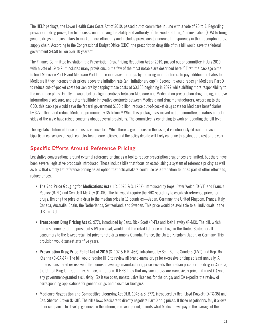The HELP package, the Lower Health Care Costs Act of 2019, passed out of committee in June with a vote of 20 to 3. Regarding prescription drug prices, the bill focuses on improving the ability and authority of the Food and Drug Administration (FDA) to bring generic drugs and biosimilars to market more efficiently and includes provisions to increase transparency in the prescription drug supply chain. According to the Congressional Budget Office (CBO), the prescription drug title of this bill would save the federal government \$4.58 billion over 10 years.46

The Finance Committee legislation, the Prescription Drug Pricing Reduction Act of 2019, passed out of committee in July 2019 with a vote of 19 to 9. It includes many provisions, but a few of the most notable are described here.<sup>47</sup> First, the package aims to limit Medicare Part B and Medicare Part D price increases for drugs by requiring manufacturers to pay additional rebates to Medicare if they increase their prices above the inflation rate (an "inflationary cap"). Second, it would redesign Medicare Part D to reduce out-of-pocket costs for seniors by capping those costs at \$3,100 beginning in 2022 while shifting more responsibility to the insurance plans. Finally, it would better align incentives between Medicare and Medicaid on prescription drug pricing, improve information disclosure, and better facilitate innovative contracts between Medicaid and drug manufacturers. According to the CBO, this package would save the federal government \$100 billion, reduce out-of-pocket drug costs for Medicare beneficiaries by \$27 billion, and reduce Medicare premiums by \$5 billion.<sup>48</sup> While this package has moved out of committee, senators on both sides of the aisle have raised concerns about several provisions. The committee is continuing to work on updating the bill text.

The legislative future of these proposals is uncertain. While there is great focus on the issue, it is notoriously difficult to reach bipartisan consensus on such complex health care policies, and the policy debate will likely continue throughout the rest of the year.

#### **Specific Efforts Around Reference Pricing**

Legislative conversations around external reference pricing as a tool to reduce prescription drug prices are limited, but there have been several legislative proposals introduced. These include bills that focus on establishing a system of reference pricing as well as bills that simply list reference pricing as an option that policymakers could use as a transition to, or as part of other efforts to, reduce prices.

- **• The End Price Gouging for Medications Act** (H.R. 3523 & S. 1987), introduced by Reps. Peter Welch (D-VT) and Francis Rooney (R-FL) and Sen. Jeff Merkley (D-OR). The bill would require the HHS secretary to establish reference prices for drugs, limiting the price of a drug to the median price in 11 countries—Japan, Germany, the United Kingdom, France, Italy, Canada, Australia, Spain, the Netherlands, Switzerland, and Sweden. This price would be available to all individuals in the U.S. market.
- **• Transparent Drug Pricing Act** (S. 977), introduced by Sens. Rick Scott (R-FL) and Josh Hawley (R-MO). The bill, which mirrors elements of the president's IPI proposal, would limit the retail list price of drugs in the United States for all consumers to the lowest retail list price for the drug among Canada, France, the United Kingdom, Japan, or Germany. This provision would sunset after five years.
- **• Prescription Drug Price Relief Act of 2019** (S. 102 & H.R. 465), introduced by Sen. Bernie Sanders (I-VT) and Rep. Ro Khanna (D-CA-17). The bill would require HHS to review all brand-name drugs for excessive pricing at least annually. A price is considered excessive if the domestic average manufacturing price exceeds the median price for the drug in Canada, the United Kingdom, Germany, France, and Japan. If HHS finds that any such drugs are excessively priced, it must (1) void any government-granted exclusivity; (2) issue open, nonexclusive licenses for the drugs; and (3) expedite the review of corresponding applications for generic drugs and biosimilar biologics.
- **•** M**edicare Negotiation and Competitive Licensing Act** (H.R. 1046 & S. 377), introduced by Rep. Lloyd Doggett (D-TX-35) and Sen. Sherrod Brown (D-OH). The bill allows Medicare to directly negotiate Part D drug prices. If those negotiations fail, it allows other companies to develop generics; in the interim, one-year period, it limits what Medicare will pay to the average of the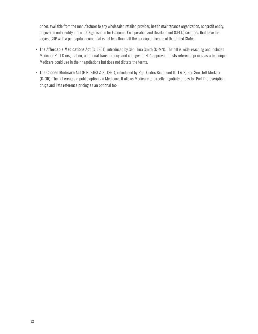prices available from the manufacturer to any wholesaler, retailer, provider, health maintenance organization, nonprofit entity, or governmental entity in the 10 Organisation for Economic Co-operation and Development (OECD) countries that have the largest GDP with a per capita income that is not less than half the per capita income of the United States.

- **• The Affordable Medications Act** (S. 1801), introduced by Sen. Tina Smith (D-MN). The bill is wide-reaching and includes Medicare Part D negotiation, additional transparency, and changes to FDA approval. It lists reference pricing as a technique Medicare could use in their negotiations but does not dictate the terms.
- **• The Choose Medicare Act** (H.R. 2463 & S. 1261), introduced by Rep. Cedric Richmond (D-LA-2) and Sen. Jeff Merkley (D-OR). The bill creates a public option via Medicare. It allows Medicare to directly negotiate prices for Part D prescription drugs and lists reference pricing as an optional tool.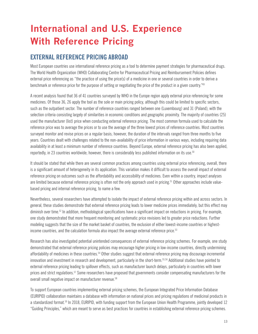# **International and U.S. Experience With Reference Pricing**

### **EXTERNAL REFERENCE PRICING ABROAD**

Most European countries use international reference pricing as a tool to determine payment strategies for pharmaceutical drugs. The World Health Organization (WHO) Collaborating Centre for Pharmaceutical Pricing and Reimbursement Policies defines external price referencing as "the practice of using the price(s) of a medicine in one or several countries in order to derive a benchmark or reference price for the purpose of setting or negotiating the price of the product in a given country."49

A recent analysis found that 36 of 41 countries surveyed by WHO in the Europe region apply external price referencing for some medicines. Of those 36, 26 apply the tool as the sole or main pricing policy, although this could be limited to specific sectors, such as the outpatient sector. The number of reference countries ranged between one (Luxembourg) and 31 (Poland), with the selection criteria consisting largely of similarities in economic conditions and geographic proximity. The majority of countries (25) used the manufacturer (list) price when conducting external reference pricing. The most common formula used to calculate the reference price was to average the prices or to use the average of the three lowest prices of reference countries. Most countries surveyed monitor and revise prices on a regular basis; however, the duration of the intervals ranged from three months to five years. Countries dealt with challenges related to the non-availability of price information in various ways, including requiring data availability in at least a minimum number of reference countries. Beyond Europe, external reference pricing has also been applied, reportedly, in 23 countries worldwide; however, there is considerably less published information on its use.<sup>50</sup>

It should be stated that while there are several common practices among countries using external price referencing, overall, there is a significant amount of heterogeneity in its application. This variation makes it difficult to assess the overall impact of external reference pricing on outcomes such as the affordability and accessibility of medicines. Even within a country, impact analyses are limited because external reference pricing is often not the only approach used in pricing.<sup>51</sup> Other approaches include valuebased pricing and internal reference pricing, to name a few.

Nevertheless, several researchers have attempted to isolate the impact of external reference pricing within and across sectors. In general, these studies demonstrate that external reference pricing leads to lower medicine prices immediately, but this effect may diminish over time.<sup>52</sup> In addition, methodological specifications have a significant impact on reductions in pricing. For example, one study demonstrated that more frequent monitoring and systematic price revisions led to greater price reductions. Further modeling suggests that the size of the market basket of countries, the exclusion of either lowest-income countries or highestincome countries, and the calculation formula also impact the average external reference price.<sup>53</sup>

Research has also investigated potential unintended consequences of external reference pricing schemes. For example, one study demonstrated that external reference pricing policies may encourage higher pricing in low-income countries, directly undermining affordability of medicines in these countries.54 Other studies suggest that external reference pricing may discourage incremental innovation and investment in research and development, particularly in the short-term.<sup>55,56</sup> Additional studies have pointed to external reference pricing leading to spillover effects, such as manufacturer launch delays, particularly in countries with lower prices and strict regulations.<sup>57</sup> Some researchers have proposed that governments consider compensating manufacturers for the overall small negative impact on manufacturer revenue.<sup>58</sup>

To support European countries implementing external pricing schemes, the European Integrated Price Information Database (EURIPID) collaboration maintains a database with information on national prices and pricing regulations of medicinal products in a standardized format.59 In 2018, EURIPID, with funding support from the European Union Health Programme, jointly developed 12 "Guiding Principles," which are meant to serve as best practices for countries in establishing external reference pricing schemes.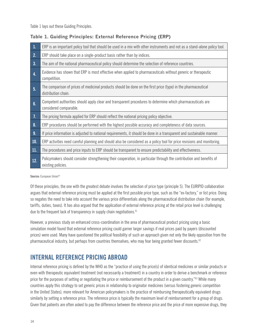Table 1 lays out these Guiding Principles.

| $\overline{1}$ . | ERP is an important policy tool that should be used in a mix with other instruments and not as a stand-alone policy tool.                  |
|------------------|--------------------------------------------------------------------------------------------------------------------------------------------|
| 2.               | ERP should take place on a single-product basis rather than by indices.                                                                    |
| 3.               | The aim of the national pharmaceutical policy should determine the selection of reference countries.                                       |
| 4.               | Evidence has shown that ERP is most effective when applied to pharmaceuticals without generic or therapeutic<br>competition.               |
| 5 <sub>1</sub>   | The comparison of prices of medicinal products should be done on the first price (type) in the pharmaceutical<br>distribution chain.       |
| 6.               | Competent authorities should apply clear and transparent procedures to determine which pharmaceuticals are<br>considered comparable.       |
| $\overline{1}$ . | The pricing formula applied for ERP should reflect the national pricing policy objective.                                                  |
| 8 <sub>1</sub>   | ERP procedures should be performed with the highest possible accuracy and completeness of data sources.                                    |
| 9.               | If price information is adjusted to national requirements, it should be done in a transparent and sustainable manner.                      |
| 10.              | ERP activities need careful planning and should also be considered as a policy tool for price revisions and monitoring.                    |
| 11.              | The procedures and price inputs to ERP should be transparent to ensure predictability and effectiveness.                                   |
| 12.              | Policymakers should consider strengthening their cooperation, in particular through the contribution and benefits of<br>existing policies. |
|                  |                                                                                                                                            |

#### **Table 1. Guiding Principles: External Reference Pricing (ERP)**

Source: European Union<sup>60</sup>

Of these principles, the one with the greatest debate involves the selection of price type (principle 5). The EURIPID collaboration argues that external reference pricing must be applied at the first possible price type, such as the "ex-factory," or list price. Doing so negates the need to take into account the various price differentials along the pharmaceutical distribution chain (for example, tariffs, duties, taxes). It has also argued that the application of external reference pricing at the retail price level is challenging due to the frequent lack of transparency in supply chain negotiations.<sup>61</sup>

However, a previous study on enhanced cross-coordination in the area of pharmaceutical product pricing using a basic simulation model found that external reference pricing could garner larger savings if real prices paid by payers (discounted prices) were used. Many have questioned the political feasibility of such an approach given not only the likely opposition from the pharmaceutical industry, but perhaps from countries themselves, who may fear being granted fewer discounts.<sup>62</sup>

### **INTERNAL REFERENCE PRICING ABROAD**

Internal reference pricing is defined by the WHO as the "practice of using the price(s) of identical medicines or similar products or even with therapeutic equivalent treatment (not necessarily a treatment) in a country in order to derive a benchmark or reference price for the purposes of setting or negotiating the price or reimbursement of the product in a given country."63 While many countries apply this strategy to set generic prices in relationship to originator medicines (versus fostering generic competition in the United States), more relevant for American policymakers is the practice of reimbursing therapeutically equivalent drugs similarly by setting a reference price. The reference price is typically the maximum level of reimbursement for a group of drugs. Given that patients are often asked to pay the difference between the reference price and the price of more expensive drugs, they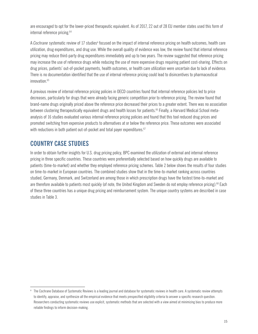are encouraged to opt for the lower-priced therapeutic equivalent. As of 2017, 22 out of 28 EU member states used this form of internal reference pricing.<sup>64</sup>

A *Cochrane* systematic review of 17 studies<sup>a</sup> focused on the impact of internal reference pricing on health outcomes, health care utilization, drug expenditures, and drug use. While the overall quality of evidence was low, the review found that internal reference pricing may reduce third-party drug expenditures immediately and up to two years. The review suggested that reference pricing may increase the use of reference drugs while reducing the use of more expensive drugs requiring patient cost-sharing. Effects on drug prices, patients' out-of-pocket payments, health outcomes, or health care utilization were uncertain due to lack of evidence. There is no documentation identified that the use of internal reference pricing could lead to disincentives to pharmaceutical innovation.<sup>65</sup>

A previous review of internal reference pricing policies in OECD countries found that internal reference policies led to price decreases, particularly for drugs that were already facing generic competition prior to reference pricing. The review found that brand-name drugs originally priced above the reference price decreased their prices to a greater extent. There was no association between clustering therapeutically equivalent drugs and health losses for patients.<sup>66</sup> Finally, a Harvard Medical School metaanalysis of 16 studies evaluated various internal reference pricing policies and found that this tool reduced drug prices and promoted switching from expensive products to alternatives at or below the reference price. These outcomes were associated with reductions in both patient out-of-pocket and total payer expenditures.<sup>67</sup>

### **COUNTRY CASE STUDIES**

In order to obtain further insights for U.S. drug pricing policy, BPC examined the utilization of external and internal reference pricing in three specific countries. These countries were preferentially selected based on how quickly drugs are available to patients (time-to-market) and whether they employed reference pricing schemes. Table 2 below shows the results of four studies on time-to-market in European countries. The combined studies show that in the time-to-market ranking across countries studied, Germany, Denmark, and Switzerland are among those in which prescription drugs have the fastest time-to-market and are therefore available to patients most quickly (of note, the United Kingdom and Sweden do not employ reference pricing).<sup>68</sup> Each of these three countries has a unique drug pricing and reimbursement system. The unique country systems are described in case studies in Table 3.

<sup>&</sup>lt;sup>a</sup> The Cochrane Database of Systematic Reviews is a leading journal and database for systematic reviews in health care. A systematic review attempts to identify, appraise, and synthesize all the empirical evidence that meets prespecified eligibility criteria to answer a specific research question. Researchers conducting systematic reviews use explicit, systematic methods that are selected with a view aimed at minimizing bias to produce more reliable findings to inform decision-making.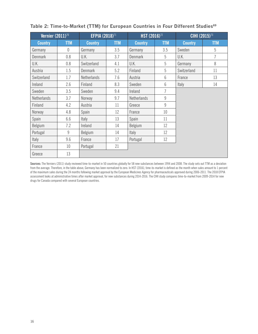| Vernier $(2011)^{70}$ |            | <b>EFPIA (2018)</b> <sup>71</sup> |            | HST (2016) <sup>72</sup> |            | CIHI (2015) <sup>73</sup> |            |
|-----------------------|------------|-----------------------------------|------------|--------------------------|------------|---------------------------|------------|
| <b>Country</b>        | <b>TTM</b> | <b>Country</b>                    | <b>TTM</b> | <b>Country</b>           | <b>TTM</b> | <b>Country</b>            | <b>TTM</b> |
| Germany               | $\theta$   | Germany                           | 3.5        | Germany                  | 3.5        | Sweden                    | 5          |
| <b>Denmark</b>        | 0.8        | U.K.                              | 3.7        | Denmark                  | 5          | U.K.                      | 7          |
| U.K.                  | 0.8        | Switzerland                       | 4.1        | U.K.                     | 5          | Germany                   | 8          |
| Austria               | 1.5        | <b>Denmark</b>                    | 5.2        | Finland                  | 5          | Switzerland               | 11         |
| Switzerland           | 1.7        | Netherlands                       | 7.6        | Austria                  | 6          | France                    | 13         |
| Ireland               | 2.6        | Finland                           | 8.3        | Sweden                   | 6          | Italy                     | 14         |
| Sweden                | 3.5        | Sweden                            | 9.4        | Ireland                  | 7          |                           |            |
| Netherlands           | 3.7        | Norway                            | 9.7        | Netherlands              | 9          |                           |            |
| Finland               | 4.2        | Austria                           | 11         | Greece                   | 9          |                           |            |
| Norway                | 4.8        | Spain                             | 12         | France                   | 10         |                           |            |
| Spain                 | 6.6        | Italy                             | 13         | Spain                    | 11         |                           |            |
| Belgium               | 7.2        | Ireland                           | 14         | Belgium                  | 12         |                           |            |
| Portugal              | 9          | Belgium                           | 14         | Italy                    | 12         |                           |            |
| Italy                 | 9.6        | France                            | 17         | Portugal                 | 12         |                           |            |
| France                | 10         | Portugal                          | 21         |                          |            |                           |            |
| Greece                | 13         |                                   |            |                          |            |                           |            |

#### Table 2: Time-to-Market (TTM) for European Countries in Four Different Studies<sup>69</sup>

**Sources:** The Verniers (2011) study reviewed time-to-market in 50 countries globally for 58 new substances between 1994 and 2008. The study sets out TTM as a deviation from the average. Therefore, in the table above, Germany has been normalized to zero. In HST (2016), time-to-market is defined as the month when sales amount to 1 percent of the maximum sales during the 24 months following market approval by the European Medicines Agency for pharmaceuticals approved during 2006-2011. The 2018 EFPIA assessment looks at administrative times after market approval, for new substances during 2014-2016. The CIHI study compares time-to-market from 2009-2014 for new drugs for Canada compared with several European countries.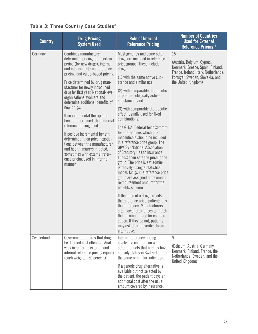|  |  |  |  |  | Table 3: Three Country Case Studies* |
|--|--|--|--|--|--------------------------------------|
|--|--|--|--|--|--------------------------------------|

| <b>Country</b> | <b>Drug Pricing</b><br><b>System Used</b>                                                                                                                                                                                                                                                                                                                                                                                                                                                                                                                                                                                                                                                | <b>Role of Internal</b><br><b>Reference Pricing</b>                                                                                                                                                                                                                                                                                                                                                                                                                                                                                                                                                                                                                                                                                                                                                                                                                                                                                                                                                                                                                       | <b>Number of Countries</b><br><b>Used for External</b><br>Reference Pricing <sup>74</sup>                                                                              |
|----------------|------------------------------------------------------------------------------------------------------------------------------------------------------------------------------------------------------------------------------------------------------------------------------------------------------------------------------------------------------------------------------------------------------------------------------------------------------------------------------------------------------------------------------------------------------------------------------------------------------------------------------------------------------------------------------------------|---------------------------------------------------------------------------------------------------------------------------------------------------------------------------------------------------------------------------------------------------------------------------------------------------------------------------------------------------------------------------------------------------------------------------------------------------------------------------------------------------------------------------------------------------------------------------------------------------------------------------------------------------------------------------------------------------------------------------------------------------------------------------------------------------------------------------------------------------------------------------------------------------------------------------------------------------------------------------------------------------------------------------------------------------------------------------|------------------------------------------------------------------------------------------------------------------------------------------------------------------------|
| Germany        | Combines manufacturer<br>determined pricing for a certain<br>period (for new drugs), internal<br>and informal external reference<br>pricing, and value-based pricing.<br>Price determined by drug man-<br>ufacturer for newly introduced<br>drug for first year. National-level<br>organizations evaluate and<br>determine additional benefits of<br>new drugs.<br>If no incremental therapeutic<br>benefit determined, then internal<br>reference pricing used.<br>If positive incremental benefit<br>determined, then price negotia-<br>tions between the manufacturer<br>and health insurers initiated,<br>sometimes with external refer-<br>ence pricing used in informal<br>manner. | Most generics and some other<br>drugs are included in reference<br>price groups. These include<br>drugs:<br>(1) with the same active sub-<br>stance and similar use;<br>(2) with comparable therapeutic<br>or pharmacologically active<br>substances; and<br>(3) with comparable therapeutic<br>effect (usually used for fixed<br>combinations).<br>The G-BA (Federal Joint Commit-<br>tee) determines which phar-<br>maceuticals should be included<br>in a reference price group. The<br><b>GKV-SV (National Association)</b><br>of Statutory Health Insurance<br>Funds) then sets the price in the<br>group. The price is set admin-<br>istratively, using a statistical<br>model. Drugs in a reference price<br>group are assigned a maximum<br>reimbursement amount for the<br>benefits scheme.<br>If the price of a drug exceeds<br>the reference price, patients pay<br>the difference. Manufacturers<br>often lower their prices to match<br>the maximum price for compen-<br>sation. If they do not, patients<br>may ask their prescriber for an<br>alternative. | 15<br>(Austria, Belgium, Cyprus,<br>Denmark, Greece, Spain, Finland,<br>France, Ireland, Italy, Netherlands,<br>Portugal, Sweden, Slovakia, and<br>the United Kingdom) |
| Switzerland    | Government requires that drugs<br>be deemed cost effective. Anal-<br>yses incorporate external and<br>internal reference pricing equally<br>(each weighted 50 percent).                                                                                                                                                                                                                                                                                                                                                                                                                                                                                                                  | Internal reference pricing<br>involves a comparison with<br>other products that already have<br>subsidy status in Switzerland for<br>the same or similar indication.<br>If a generic drug alternative is<br>available but not selected by<br>the patient, the patient pays an<br>additional cost after the usual<br>amount covered by insurance.                                                                                                                                                                                                                                                                                                                                                                                                                                                                                                                                                                                                                                                                                                                          | 9<br>(Belgium, Austria, Germany,<br>Denmark, Finland, France, the<br>Netherlands, Sweden, and the<br>United Kingdom)                                                   |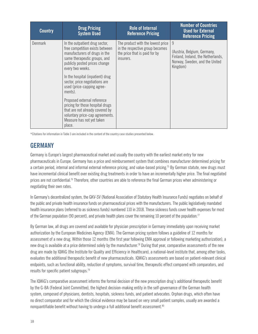| <b>Country</b> | <b>Drug Pricing</b><br><b>System Used</b>                                                                                                                                               | <b>Role of Internal</b><br><b>Reference Pricing</b>                                                                | <b>Number of Countries</b><br><b>Used for External</b><br><b>Reference Pricing</b>                                   |
|----------------|-----------------------------------------------------------------------------------------------------------------------------------------------------------------------------------------|--------------------------------------------------------------------------------------------------------------------|----------------------------------------------------------------------------------------------------------------------|
| <b>Denmark</b> | In the outpatient drug sector,<br>free competition exists between<br>manufacturers of drugs in the<br>same therapeutic groups, and<br>publicly posted prices change<br>every two weeks. | The product with the lowest price<br>in the respective group becomes<br>the price that is paid for by<br>insurers. | 9<br>(Austria, Belgium, Germany,<br>Finland, Ireland, the Netherlands,<br>Norway, Sweden, and the United<br>Kingdom) |
|                | In the hospital (inpatient) drug<br>sector, price negotiations are<br>used (price-capping agree-<br>ments).                                                                             |                                                                                                                    |                                                                                                                      |
|                | Proposed external reference<br>pricing for those hospital drugs<br>that are not already covered by<br>voluntary price-cap agreements.<br>Measure has not yet taken<br>place.            |                                                                                                                    |                                                                                                                      |

\*Citations for information in Table 3 are included in the content of the country case studies presented below.

# **GERMANY**

Germany is Europe's largest pharmaceutical market and usually the country with the earliest market entry for new pharmaceuticals in Europe. Germany has a price and reimbursement system that combines manufacturer determined pricing for a certain period, internal and informal external reference pricing, and value-based pricing.<sup>75</sup> By German statute, new drugs must have incremental clinical benefit over existing drug treatments in order to have an incrementally higher price. The final negotiated prices are not confidential.<sup>76</sup> Therefore, other countries are able to reference the final German prices when administering or negotiating their own rates.

In Germany's decentralized system, the GKV-SV (National Association of Statutory Health Insurance Funds) negotiates on behalf of the public and private health insurance funds on pharmaceutical prices with the manufacturers. The public legislatively mandated health insurance plans (referred to as sickness funds) numbered 110 in 2018. These sickness funds cover health expenses for most of the German population (90 percent), and private health plans cover the remaining 10 percent of the population.77

By German law, all drugs are covered and available for physician prescription in Germany immediately upon receiving market authorization by the European Medicines Agency (EMA). The German pricing system follows a guideline of 12 months for assessment of a new drug. Within those 12 months (the first year following EMA approval or following marketing authorization), a new drug is available at a price determined solely by the manufacturer.<sup>78</sup> During that year, comparative assessments of the new drug are made by IQWiG (the Institute for Quality and Efficiency in Healthcare), a national-level institute that, among other tasks, evaluates the additional therapeutic benefit of new pharmaceuticals. IQWiG's assessments are based on patient-relevant clinical endpoints, such as functional ability, reduction of symptoms, survival time, therapeutic effect compared with comparators, and results for specific patient subgroups.<sup>79</sup>

The IQWiG's comparative assessment informs the formal decision of the new prescription drug's additional therapeutic benefit by the G-BA (Federal Joint Committee), the highest decision-making entity in the self-governance of the German health system, composed of physicians, dentists, hospitals, sickness funds, and patient advocates. Orphan drugs, which often have no direct comparator and for which the clinical evidence may be based on very small patient samples, usually are awarded a nonquantifiable benefit without having to undergo a full additional benefit assessment.<sup>80</sup>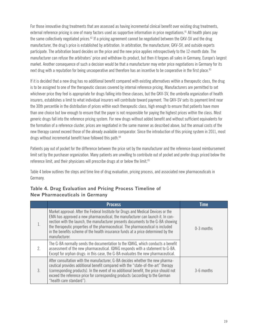For those innovative drug treatments that are assessed as having incremental clinical benefit over existing drug treatments, external reference pricing is one of many factors used as supportive information in price negotiations.<sup>81</sup> All health plans pay the same collectively negotiated prices.<sup>82</sup> If a pricing agreement cannot be negotiated between the GKV-SV and the drug manufacturer, the drug's price is established by arbitration. In arbitration, the manufacturer, GKV-SV, and outside experts participate. The arbitration board decides on the price and the new price applies retrospectively to the 12-month date. The manufacturer can refuse the arbitrators' price and withdraw its product, but then it forgoes all sales in Germany, Europe's largest market. Another consequence of such a decision would be that a manufacturer may enter price negotiations in Germany for its next drug with a reputation for being uncooperative and therefore has an incentive to be cooperative in the first place.<sup>83</sup>

If it is decided that a new drug has no additional benefit compared with existing alternatives within a therapeutic class, the drug is to be assigned to one of the therapeutic classes covered by internal reference pricing. Manufacturers are permitted to set whichever price they feel is appropriate for drugs falling into these classes, but the GKV-SV, the umbrella organization of health insurers, establishes a limit to what individual insurers will contribute toward payment. The GKV-SV sets its payment limit near the 30th percentile in the distribution of prices within each therapeutic class, high enough to ensure that patients have more than one choice but low enough to ensure that the payer is not responsible for paying the highest prices within the class. Most generic drugs fall into the reference pricing system. For new drugs without added benefit and without sufficient equivalents for the formation of a reference cluster, prices are negotiated in the same manner as described above, but the annual costs of the new therapy cannot exceed those of the already available comparator. Since the introduction of this pricing system in 2011, most drugs without incremental benefit have followed this path.<sup>84</sup>

Patients pay out of pocket for the difference between the price set by the manufacturer and the reference-based reimbursement limit set by the purchaser organization. Many patients are unwilling to contribute out of pocket and prefer drugs priced below the reference limit, and their physicians will prescribe drugs at or below the limit.<sup>85</sup>

Table 4 below outlines the steps and time line of drug evaluation, pricing process, and associated new pharmaceuticals in Germany.

|               | <b>Process</b>                                                                                                                                                                                                                                                                                                                                                                                                                                    | <b>Time</b>  |
|---------------|---------------------------------------------------------------------------------------------------------------------------------------------------------------------------------------------------------------------------------------------------------------------------------------------------------------------------------------------------------------------------------------------------------------------------------------------------|--------------|
|               | Market approval: After the Federal Institute for Drugs and Medical Devices or the<br>EMA has approved a new pharmaceutical, the manufacturer can launch it. In con-<br>nection with the launch, the manufacturer presents documents to the G-BA showing<br>the therapeutic properties of the pharmaceutical. The pharmaceutical is included<br>in the benefits scheme of the health insurance funds at a price determined by the<br>manufacturer. | $0-3$ months |
| $\mathcal{P}$ | The G-BA normally sends the documentation to the IQWIG, which conducts a benefit<br>assessment of the new pharmaceutical. IQWiG responds with a statement to G-BA.<br>Except for orphan drugs: in this case, the G-BA evaluates the new pharmaceutical.                                                                                                                                                                                           |              |
| 3.            | After consultation with the manufacturer, G-BA decides whether the new pharma-<br>ceutical provides additional benefit compared with the "state-of-the-art" therapy<br>(corresponding products). In the event of no additional benefit, the price should not<br>exceed the reference price for corresponding products (according to the German<br>"health care standard").                                                                        | 3-6 months   |

#### **Table 4. Drug Evaluation and Pricing Process Timeline of New Pharmaceuticals in Germany**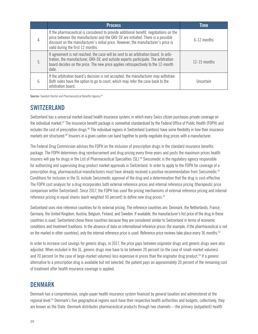|    | <b>Process</b>                                                                                                                                                                                                                                                                                        | <b>Time</b>    |
|----|-------------------------------------------------------------------------------------------------------------------------------------------------------------------------------------------------------------------------------------------------------------------------------------------------------|----------------|
| 4. | If the pharmaceutical is considered to provide additional benefit, negotiations on the<br>price between the manufacturer and the GKV-SV are initiated. There is a possible<br>discount on the manufacturer's initial price. However, the manufacturer's price is<br>valid during the first 12 months. | 6-12 months    |
| 5. | If agreement is not reached, the case will be sent to an arbitration board. In arbi-<br>tration, the manufacturer, GKV-SV, and outside experts participate. The arbitration<br>board decides on the price. The new price applies retrospectively to the 12-month<br>date.                             | $12-15$ months |
| 6. | If the arbitration board's decision is not accepted, the manufacturer may withdraw.<br>Both sides have the option to go to court, which may refer the case back to the<br>arbitration board.                                                                                                          | Uncertain      |

**Source:** Swedish Dental and Pharmaceutical Benefits Agency.<sup>86</sup>

### **SWITZERLAND**

Switzerland has a universal market-based health insurance system, in which every Swiss citizen purchases private coverage on the individual market.<sup>87</sup> The insurance benefit package is somewhat standardized by the Federal Office of Public Health (FOPH) and includes the cost of prescription drugs.<sup>88</sup> The individual regions in Switzerland (cantons) have some flexibility in how their insurance markets are structured.<sup>89</sup> Insurers in a given canton can band together to jointly negotiate drug prices with a manufacturer.

The Federal Drug Commission advises the FOPH on the inclusion of prescription drugs in the standard insurance benefits package. The FOPH determines drug reimbursement and drug pricing every three years and posts the maximum prices health insurers will pay for drugs in the List of Pharmaceutical Specialties (SL).<sup>90</sup> Swissmedic is the regulatory agency responsible for authorizing and supervising drug-product market approvals in Switzerland. In order to apply to the FOPH for coverage of a prescription drug, pharmaceutical manufacturers must have already received a positive recommendation from Swissmedic.<sup>91</sup> Conditions for inclusion in the SL include Swissmedic approval of the drug and a determination that the drug is cost-effective. The FOPH cost analysis for a drug incorporates both external reference prices and internal reference pricing (therapeutic price comparison within Switzerland). Since 2017, the FOPH has used the pricing mechanisms of external reference pricing and internal reference pricing in equal shares (each weighted 50 percent) to define new drug prices.<sup>92</sup>

Switzerland uses nine reference countries for its external pricing. The reference countries are: Denmark, the Netherlands, France, Germany, the United Kingdom, Austria, Belgium, Finland, and Sweden. If available, the manufacturer's list price of the drug in these countries is used. Switzerland chose these countries because they are considered similar to Switzerland in terms of economic conditions and treatment traditions. In the absence of data on international reference prices (for example, if the pharmaceutical is not on the market in other countries), only the internal reference price is used. Reference price reviews take place every 36 months.<sup>93</sup>

In order to increase cost savings for generic drugs, in 2017, the price gaps between originator drugs and generic drugs were also adjusted. When included in the SL, generic drugs now have to be between 20 percent (in the case of small-market volumes) and 70 percent (in the case of large-market volumes) less expensive in prices than the originator drug product.<sup>94</sup> If a generic alternative to a prescription drug is available but not selected, the patient pays an approximately 20 percent of the remaining cost of treatment after health insurance coverage is applied.

### **DENMARK**

Denmark has a comprehensive, single-payer health insurance system financed by general taxation and administered at the regional level.95 Denmark's five geographical regions each have their respective health authorities and budgets; collectively, they are known as the State. Denmark distributes pharmaceutical products through two channels—the primary (outpatient) health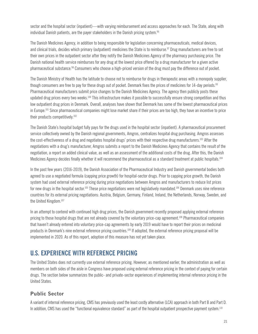sector and the hospital sector (inpatient)—with varying reimbursement and access approaches for each. The State, along with individual Danish patients, are the payer stakeholders in the Danish pricing system.<sup>96</sup>

The Danish Medicines Agency, in addition to being responsible for legislation concerning pharmaceuticals, medical devices, and clinical trials, decides which primary (outpatient) medicines the State is to reimburse.<sup>97</sup> Drug manufacturers are free to set their own prices in the outpatient sector after they notify the Danish Medicines Agency of the pharmacy purchasing price. The Danish national health service reimburses for any drug at the lowest price offered by a drug manufacturer for a given active pharmaceutical substance.98 Consumers who choose a high-priced version of the drug must pay the difference out of pocket.

The Danish Ministry of Health has the latitude to choose not to reimburse for drugs in therapeutic areas with a monopoly supplier, though consumers are free to pay for these drugs out of pocket. Denmark fixes the prices of medicines for 14-day periods.<sup>99</sup> Pharmaceutical manufacturers submit price changes to the Danish Medicines Agency. The agency then publicly posts these updated drug prices every two weeks.100 This infrastructure makes it possible to successfully ensure strong competition and thus low outpatient drug prices in Denmark. Overall, analyses have shown that Denmark has some of the lowest pharmaceutical prices in Europe.<sup>101</sup> Since pharmaceutical companies might lose market share if their prices are too high, they have an incentive to price their products competitively.102

The Danish State's hospital budget fully pays for the drugs used in the hospital sector (inpatient). A pharmaceutical procurement service collectively owned by the Danish regional governments, Amgros, centralizes hospital drug purchasing. Amgros assesses the cost-effectiveness of a drug and negotiates hospital drugs' prices with their respective drug manufacturers.103 After the negotiations with a drug's manufacturer, Amgros submits a report to the Danish Medicines Agency that contains the result of the negotiation, a report on added clinical value, as well as an assessment of the additional costs of the drug. After this, the Danish Medicines Agency decides finally whether it will recommend the pharmaceutical as a standard treatment at public hospitals.<sup>104</sup>

In the past few years (2016-2019), the Danish Association of the Pharmaceutical Industry and Danish governmental bodies both agreed to use a negotiated formula (capping price growth) for hospital-sector drugs. Prior to capping price growth, the Danish system had used external reference pricing during price negotiations between Amgros and manufacturers to reduce list prices for new drugs in the hospital sector.<sup>105</sup> These price negotiations were not legislatively mandated.<sup>106</sup> Denmark uses nine reference countries for its external pricing negotiations: Austria, Belgium, Germany, Finland, Ireland, the Netherlands, Norway, Sweden, and the United Kingdom.<sup>107</sup>

In an attempt to contend with continued high drug prices, the Danish government recently proposed applying external reference pricing to those hospital drugs that are not already covered by the voluntary price-cap agreement.108 Pharmaceutical companies that haven't already entered into voluntary price-cap agreements by early 2019 would have to report their prices on medicinal products in Denmark's nine external reference pricing countries.109 If adopted, the external reference pricing proposal will be implemented in 2020. As of this report, adoption of this measure has not yet taken place.

### **U.S. EXPERIENCE WITH REFERENCE PRICING**

The United States does not currently use external reference pricing. However, as mentioned earlier, the administration as well as members on both sides of the aisle in Congress have proposed using external reference pricing in the context of paying for certain drugs. The section below summarizes the public- and private-sector experiences of implementing internal reference pricing in the United States.

#### **Public Sector**

A variant of internal reference pricing, CMS has previously used the least costly alternative (LCA) approach in both Part B and Part D. In addition, CMS has used the "functional equivalence standard" as part of the hospital outpatient prospective payment system.<sup>110</sup>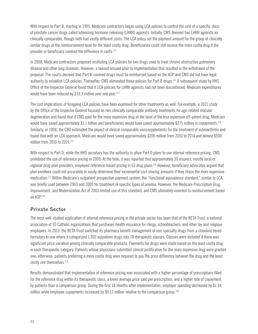With respect to Part B, starting in 1995, Medicare contractors began using LCA policies to control the cost of a specific class of prostate cancer drugs called luteinizing hormone-releasing (LHRH) agonists. Initially, CMS deemed two LHRH agonists as clinically comparable, though both had vastly different costs. The LCA policy set the payment amount for the group of clinically similar drugs at the reimbursement level for the least costly drug. Beneficiaries could still receive the more costly drug if the provider or beneficiary covered the difference in costs.<sup>111</sup>

In 2008, Medicare contractors proposed instituting LCA policies for two drugs used to treat chronic obstructive pulmonary disease and other lung diseases. However, a lawsuit ensued prior to implementation that resulted in the withdrawal of the proposal. The courts decreed that Part B-covered drugs must be reimbursed based on the ASP and CMS did not have legal authority to establish LCA policies. Thereafter, CMS eliminated these policies for Part B drugs.112 A subsequent study by HHS Office of the Inspector General found that if LCA policies for LHRH agonists had not been discontinued, Medicare expenditures would have been reduced by \$33.3 million over one year.<sup>113</sup>

The cost implications of foregoing LCA policies have been examined for other treatments as well. For example, a 2011 study by the Office of the Inspector General focused on two clinically comparable antibody treatments for age-related macular degeneration and found that if CMS paid for the more expensive drug at the level of the less expensive off-patent drug, Medicare would have saved approximately \$1.1 billion and beneficiaries would have saved approximately \$275 million in copayments.<sup>114</sup> Similarly, in 2008, the CBO estimated the impact of clinical comparable viscosupplements for the treatment of osteoarthritis and found that with an LCA approach, Medicare would have saved approximately \$200 million from 2010 to 2014 and almost \$500 million from 2010 to 2019.115

With respect to Part D, while the HHS secretary has the authority to allow Part D plans to use internal reference pricing, CMS prohibited the use of reference pricing in 2009. At the time, it was reported that approximately 30 insurers, mostly local or regional drug-plan providers, employed reference-based pricing in 63 drug plans.116 However, beneficiary advocates argued that plan enrollees could not accurately or easily determine their incremental cost-sharing amounts if they chose the more expensive medication.117 Within Medicare's outpatient prospective payment system, the "functional equivalence standard," similar to LCA, was briefly used between 2003 and 2005 for treatment of specific types of anemia. However, the Medicare Prescription Drug, Improvement, and Modernization Act of 2003 limited use of this standard, and CMS ultimately reverted to reimbursement based on ASP.<sup>118</sup>

#### **Private Sector**

The most well-studied application of internal reference pricing in the private sector has been that of the RETA Trust, a national association of 55 Catholic organizations that purchases health insurance for clergy, schoolteachers, and other lay and religious employees. In 2013, the RETA Trust switched its pharmacy benefit management of non-specialty drugs from a standard tiered formulary to one where it categorized 1,302 outpatient drugs into 78 therapeutic classes. Classes were included if there was significant price variation among clinically comparable products. Payments for drugs were made based on the least costly drug in each therapeutic category. Patients whose physicians submitted clinical justification for the more expensive drug were granted one; otherwise, patients preferring a more costly drug were required to pay the price difference between the drug and the least costly one themselves.<sup>119</sup>

Results demonstrated that implementation of reference pricing was associated with a higher percentage of prescriptions filled for the reference drug within its therapeutic class, a lower average price paid per prescription, and a higher rate of copayment by patients than a comparison group. During the first 18 months after implementation, employer spending decreased by \$1.34 million while employee copayments increased by \$0.12 million relative to the comparison group.<sup>120</sup>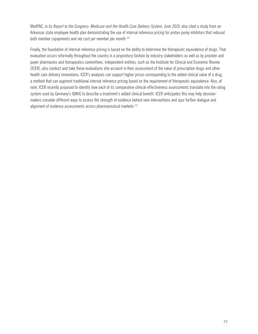MedPAC, in its *Report to the Congress: Medicare and the Health Care Delivery System, June 2019*, also cited a study from an Arkansas state employee health plan demonstrating the use of internal reference pricing for proton pump inhibitors that reduced both member copayments and net cost per member per month.<sup>121</sup>

Finally, the foundation of internal reference pricing is based on the ability to determine the therapeutic equivalence of drugs. That evaluation occurs informally throughout the country in a proprietary fashion by industry stakeholders as well as by provider and payer pharmacies and therapeutics committees. Independent entities, such as the Institute for Clinical and Economic Review (ICER), also conduct and take these evaluations into account in their assessment of the value of prescription drugs and other health care delivery innovations. ICER's analyses can support higher prices corresponding to the added clinical value of a drug, a method that can augment traditional internal reference pricing based on the requirement of therapeutic equivalence. Also, of note, ICER recently proposed to identify how each of its comparative clinical-effectiveness assessments translate into the rating system used by Germany's IQWiG to describe a treatment's added clinical benefit. ICER anticipates this may help decisionmakers consider different ways to assess the strength of evidence behind new interventions and spur further dialogue and alignment of evidence assessments across pharmaceutical markets.<sup>122</sup>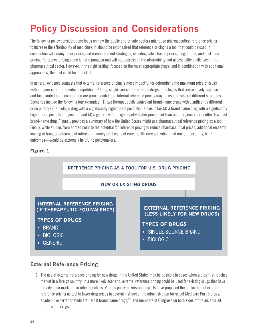# **Policy Discussion and Considerations**

The following policy considerations focus on how the public and private sectors might use pharmaceutical reference pricing to increase the affordability of medicines. It should be emphasized that reference pricing is a tool that could be used in conjunction with many other pricing and reimbursement strategies, including value-based pricing, negotiation, and cost-plus pricing. Reference pricing alone is not a panacea and will not address all the affordability and accessibility challenges in the pharmaceutical sector. However, in the right setting, focused on the most appropriate drugs, and in combination with additional approaches, this tool could be impactful.

In general, evidence suggests that external reference pricing is most impactful for determining the maximum price of drugs without generic or therapeutic competition.<sup>123</sup> Thus, single-source brand-name drugs or biologics that are relatively expensive and face limited to no competition are prime candidates. Internal reference pricing may be used in several different situations. Scenarios include the following four examples: (1) two therapeutically equivalent brand-name drugs with significantly different price points; (2) a biologic drug with a significantly higher price point than a biosimilar; (3) a brand-name drug with a significantly higher price point than a generic; and (4) a generic with a significantly higher price point than another generic or another low-cost brand-name drug. Figure 1 provides a summary of how the United States might use pharmaceutical reference pricing as a tool. Finally, while studies from abroad point to the potential for reference pricing to reduce pharmaceutical prices, additional research looking at broader outcomes of interest—namely total costs of care, health care utilization, and most importantly, health outcomes—would be extremely helpful to policymakers.

#### Figure 1



#### **External Reference Pricing**

1. The use of external reference pricing for new drugs in the United States may be possible in cases when a drug first reaches market in a foreign country. In a more likely scenario, external reference pricing could be used for existing drugs that have already been marketed in other countries. Various policymakers and experts have proposed the application of external reference pricing as tool to lower drug prices in several instances: the administration for select Medicare Part B drugs, academic experts for Medicare Part D brand-name drugs,<sup>124</sup> and members of Congress on both sides of the aisle for all brand-name drugs.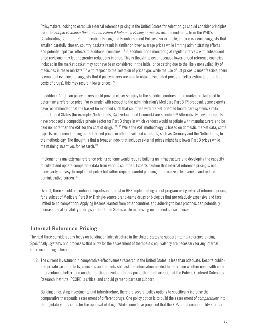Policymakers looking to establish external reference pricing in the United States for select drugs should consider principles from the *Euripid Guidance Document on External Reference Pricing* as well as recommendations from the WHO's Collaborating Centre for Pharmaceutical Pricing and Reimbursement Policies. For example, empiric evidence suggests that smaller, carefully chosen, country baskets result in similar or lower average prices while limiting administrating efforts and potential spillover effects to additional countries.<sup>125</sup> In addition, price monitoring at regular intervals with subsequent price revisions may lead to greater reductions in price. This is thought to occur because lower-priced reference countries included in the market basket may not have been considered in the initial price setting due to the likely nonavailability of medicines in these markets.126 With respect to the selection of price type, while the use of list prices is most feasible, there is empirical evidence to suggests that if policymakers are able to obtain discounted prices (a better estimate of the true costs of drugs), this may result in lower prices.<sup>127</sup>

In addition, American policymakers could provide closer scrutiny to the specific countries in the market basket used to determine a reference price. For example, with respect to the administration's Medicare Part B IPI proposal, some experts have recommended that the basket be modified such that countries with market-oriented health care systems similar to the United States (for example, Netherlands, Switzerland, and Denmark) are selected.<sup>128</sup> Alternatively, several experts have proposed a competitive private sector for Part B drugs in which vendors would negotiate with manufacturers and be paid no more than the ASP for the cost of drugs.<sup>129,130</sup> While the ASP methodology is based on domestic market data, some experts recommend adding market-based prices in other developed countries, such as Germany and the Netherlands, to the methodology. The thought is that a broader index that includes external prices might help lower Part B prices while maintaining incentives for research.<sup>131</sup>

Implementing any external reference pricing scheme would require building an infrastructure and developing the capacity to collect and update comparable data from various countries. Experts caution that external reference pricing is not necessarily an easy-to-implement policy but rather requires careful planning to maximize effectiveness and reduce administrative burden.<sup>132</sup>

Overall, there should be continued bipartisan interest in HHS implementing a pilot program using external reference pricing for a subset of Medicare Part B or D single-source brand-name drugs or biologics that are relatively expensive and face limited to no competition. Applying lessons learned from other countries and adhering to best practices can potentially increase the affordability of drugs in the United States while minimizing unintended consequences.

#### **Internal Reference Pricing**

The next three considerations focus on building an infrastructure in the United States to support internal reference pricing. Specifically, systems and processes that allow for the assessment of therapeutic equivalency are necessary for any internal reference pricing scheme.

2. The current investment in comparative-effectiveness research in the United States is less than adequate. Despite publicand private-sector efforts, clinicians and patients still lack the information needed to determine whether one health care intervention is better than another for that individual. To this point, the reauthorization of the Patient-Centered Outcomes Research Institute (PCORI) is critical and should garner bipartisan support.

Building on existing investments and infrastructure, there are several policy options to specifically increase the comparative therapeutic assessment of different drugs. One policy option is to build the assessment of *comparability* into the regulatory apparatus for the approval of drugs. While some have proposed that the FDA add a comparability standard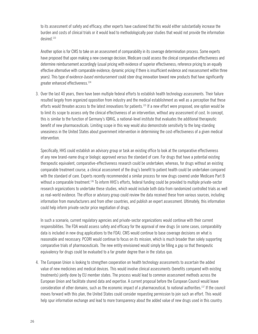to its assessment of safety and efficacy, other experts have cautioned that this would either substantially increase the burden and costs of clinical trials or it would lead to methodologically poor studies that would not provide the information desired.133

Another option is for CMS to take on an assessment of comparability in its coverage determination process. Some experts have proposed that upon making a new coverage decision, Medicare could assess the clinical comparative effectiveness and determine reimbursement accordingly (usual pricing with evidence of superior effectiveness; reference pricing to an equally effective alternative with comparable evidence; dynamic pricing if there is insufficient evidence and reassessment within three years). This type of e*vidence-based reimbursement* could steer drug innovation toward new products that have significantly greater enhanced effectiveness.134

3. Over the last 40 years, there have been multiple federal efforts to establish health technology assessments. Their failure resulted largely from organized opposition from industry and the medical establishment as well as a perception that these efforts would threaten access to the latest innovations for patients.135 If a new effort were proposed, one option would be to limit its scope to assess only the clinical effectiveness of an intervention, without any assessment of cost. In concept, this is similar to the function of Germany's IQWiG, a national-level institute that evaluates the additional therapeutic benefit of new pharmaceuticals. Limiting scope in this way would also demonstrate sensitivity to the long-standing uneasiness in the United States about government intervention in determining the cost-effectiveness of a given medical intervention.

Specifically, HHS could establish an advisory group or task an existing office to look at the comparative effectiveness of any new brand-name drug or biologic approved versus the standard of care. For drugs that have a potential existing therapeutic equivalent, comparative-effectiveness research could be undertaken; whereas, for drugs without an existing comparable treatment course, a clinical assessment of the drug's benefit to patient health could be undertaken compared with the standard of care. Experts recently recommended a similar process for new drugs covered under Medicare Part B without a comparable treatment.<sup>136</sup> To inform HHS's efforts, federal funding could be provided to multiple private-sector research organizations to undertake these studies, which would include both data from randomized controlled trials as well as real-world evidence. The office or advisory group could review the data received these from various sources, including information from manufacturers and from other countries, and publish an expert assessment. Ultimately, this information could help inform private-sector price negotiation of drugs.

In such a scenario, current regulatory agencies and private-sector organizations would continue with their current responsibilities. The FDA would assess safety and efficacy for the approval of new drugs (in some cases, comparability data is included in new drug applications to the FDA). CMS would continue to base coverage decisions on what is reasonable and necessary. PCORI would continue to focus on its mission, which is much broader than solely supporting comparative trials of pharmaceuticals. The new entity envisioned would simply be filling a gap so that therapeutic equivalency for drugs could be evaluated to a far greater degree than in the status quo.

4. The European Union is looking to strengthen cooperation on health technology assessments to ascertain the added value of new medicines and medical devices. This would involve clinical assessments (benefits compared with existing treatments) jointly done by EU member states. The process would lead to common assessment methods across the European Union and facilitate shared data and expertise. A current proposal before the European Council would leave consideration of other domains, such as the economic impact of a pharmaceutical, to national authorities.<sup>137</sup> If the council moves forward with this plan, the United States could consider requesting permission to join such an effort. This would help spur information exchange and lead to more transparency about the added value of new drugs used in this country.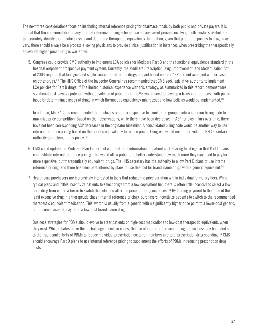The next three considerations focus on instituting internal reference pricing for pharmaceuticals by both public and private payers. It is critical that the implementation of any internal reference pricing scheme use a transparent process involving multi-sector stakeholders to accurately identify therapeutic classes and determine therapeutic equivalency. In addition, given that patient responses to drugs may vary, there should always be a process allowing physicians to provide clinical justification in instances when prescribing the therapeutically equivalent higher-priced drug is warranted.

5. Congress could provide CMS authority to implement LCA policies for Medicare Part B and the functional equivalence standard in the hospital outpatient prospective payment system. Currently, the Medicare Prescription Drug, Improvement, and Modernization Act of 2003 requires that biologics and single-source brand-name drugs be paid based on their ASP and not averaged with or based on other drugs.138 The HHS Office of the Inspector General has recommended that CMS seek legislative authority to implement LCA policies for Part B drugs.<sup>139</sup> The limited historical experience with this strategy, as summarized in this report, demonstrates significant cost-savings potential without evidence of patient harm. CMS would need to develop a transparent process with public input for determining classes of drugs in which therapeutic equivalency might exist and how policies would be implemented.140

In addition, MedPAC has recommended that biologics and their respective biosimilars be grouped into a common billing code to maximize price competition. Based on their observations, while there have been decreases in ASP for biosimilars over time, there have not been corresponding ASP decreases in the originator biosimilar. A consolidated billing code would be another way to use internal reference pricing based on therapeutic equivalency to reduce prices. Congress would need to provide the HHS secretary authority to implement this policy.141

- 6. CMS could update the Medicare Plan Finder tool with real-time information on patient cost-sharing for drugs so that Part D plans can institute internal reference pricing. This would allow patients to better understand how much more they may need to pay for more expensive, but therapeutically equivalent, drugs. The HHS secretary has the authority to allow Part D plans to use internal reference pricing, and there has been past interest by plans to use this tool for brand-name drugs with a generic equivalent.142
- 7. Health care purchasers are increasingly interested in tools that reduce the price variation within individual formulary tiers. While typical plans and PBMs incentivize patients to select drugs from a low copayment tier, there is often little incentive to select a lowprice drug from within a tier or to switch the selection after the price of a drug increases.<sup>143</sup> By limiting payment to the price of the least expensive drug in a therapeutic class (internal reference pricing), purchasers incentivize patients to switch to the recommended therapeutic equivalent medication. This switch is usually from a generic with a significantly higher price point to a lower-cost generic, but in some cases, it may be to a low-cost brand-name drug.

Business strategies for PBMs should evolve to steer patients on high-cost medications to low-cost therapeutic equivalents when they exist. While rebates make this a challenge in certain cases, the use of internal reference pricing can successfully be added on to the traditional efforts of PBMs to reduce individual prescription costs for members and total prescription drug spending.<sup>144</sup> CMS should encourage Part D plans to use internal reference pricing to supplement the efforts of PBMs in reducing prescription drug costs.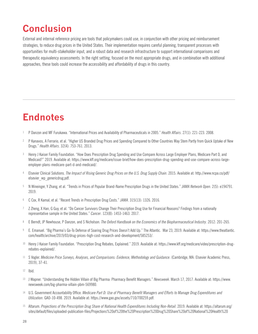# **Conclusion**

External and internal reference pricing are tools that policymakers could use, in conjunction with other pricing and reimbursement strategies, to reduce drug prices in the United States. Their implementation requires careful planning, transparent processes with opportunities for multi-stakeholder input, and a robust data and research infrastructure to support international comparisons and therapeutic equivalency assessments. In the right setting, focused on the most appropriate drugs, and in combination with additional approaches, these tools could increase the accessibility and affordability of drugs in this country.

# **Endnotes**

- <sup>1</sup> P Danzon and MF Furukawa. "International Prices and Availability of Pharmaceuticals in 2005." *Health Affairs*. 27(1): 221-223. 2008.
- <sup>2</sup> P Kanavos, A Ferrario, et al. "Higher US Branded Drug Prices and Spending Compared to Other Countries May Stem Partly from Quick Uptake of New Drugs." *Health Affairs*. 32(4): 753-761. 2013.
- <sup>3</sup> Henry J Kaiser Family Foundation. "How Does Prescription Drug Spending and Use Compare Across Large Employer Plans, Medicare Part D, and Medicaid?" 2019. Available at: https://www.kff.org/medicare/issue-brief/how-does-prescription-drug-spending-and-use-compare-across-largeemployer-plans-medicare-part-d-and-medicaid/.
- <sup>4</sup> Elsevier Clinical Solutions. *The Impact of Rising Generic Drug Prices on the U.S. Drug Supply Chain*. 2015. Available at: http://www.ncpa.co/pdf/ elsevier\_wp\_genericdrug.pdf.
- <sup>5</sup> N Wineinger, Y Zhang, et al. "Trends in Prices of Popular Brand-Name Prescription Drugs in the United States." *JAMA Network Open*. 2(5): e194791. 2019.
- <sup>6</sup> C Cox, R Kamal, et al. "Recent Trends in Prescription Drug Costs." *JAMA*. 315(13): 1326. 2016.
- <sup>7</sup> Z Zheng, X Han, G Guy, et al. "Do Cancer Survivors Change Their Prescription Drug Use for Financial Reasons? Findings from a nationally representative sample in the United States." *Cancer*. 123(8): 1453-1463. 2017.
- <sup>8</sup> E Berndt, JP Newhouse, P Danzon, and S Nicholson. *The Oxford Handbook on the Economics of the Biopharmaceutical Industry*. 2012: 201-265.
- <sup>9</sup> E. Emanuel. "Big Pharma's Go-To Defense of Soaring Drug Prices Doesn't Add Up." The Atlantic. Mar 23, 2019. Available at: https://www.theatlantic. com/health/archive/2019/03/drug-prices-high-cost-research-and-development/585253/.
- <sup>10</sup> Henry J Kaiser Family Foundation. "Prescription Drug Rebates, Explained." 2019. Available at: https://www.kff.org/medicare/video/prescription-drugrebates-explained/.
- <sup>11</sup> S Vogler. *Medicine Price Surveys, Analyses, and Comparisons: Evidence, Methodology and Guidance*. (Cambridge, MA: Elsevier Academic Press, 2019), 37-41.
- <sup>12</sup> Ibid.
- <sup>13</sup> J Wapner. "Understanding the Hidden Villain of Big Pharma: Pharmacy Benefit Managers." *Newsweek*. March 17, 2017. Available at: https://www. newsweek.com/big-pharma-villain-pbm-569980.
- <sup>14</sup> U.S. Government Accountability Office. *Medicare Part D: Use of Pharmacy Benefit Managers and Efforts to Manage Drug Expenditures and Utilization*. GAO-10-498. 2019. Available at: https://www.gao.gov/assets/710/700259.pdf.
- <sup>15</sup> Altarum. *Projections of the Prescription Drug Share of National Health Expenditures Including Non-Retail. 2019. Available at: https://altarum.org/* sites/default/files/uploaded-publication-files/Projections%20of%20the%20Prescription%20Drug%20Share%20of%20National%20Health%20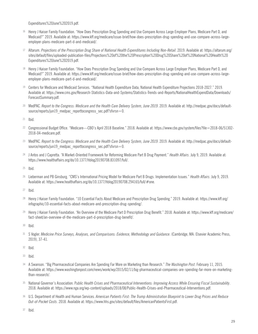Expenditures%20June%202019.pdf.

- <sup>16</sup> Henry J Kaiser Family Foundation. "How Does Prescription Drug Spending and Use Compare Across Large Employer Plans, Medicare Part D, and Medicaid?" 2019. Available at: https://www.kff.org/medicare/issue-brief/how-does-prescription-drug-spending-and-use-compare-across-largeemployer-plans-medicare-part-d-and-medicaid/.
- <sup>17</sup> Altarum. *Projections of the Prescription Drug Share of National Health Expenditures Including Non-Retail*. 2019. Available at: https://altarum.org/ sites/default/files/uploaded-publication-files/Projections%20of%20the%20Prescription%20Drug%20Share%20of%20National%20Health%20 Expenditures%20June%202019.pdf.
- 18 Henry J Kaiser Family Foundation. "How Does Prescription Drug Spending and Use Compare Across Large Employer Plans, Medicare Part D, and Medicaid?" 2019. Available at: https://www.kff.org/medicare/issue-brief/how-does-prescription-drug-spending-and-use-compare-across-largeemployer-plans-medicare-part-d-and-medicaid/.
- <sup>19</sup> Centers for Medicare and Medicaid Services. "National Health Expenditure Data, National Health Expenditure Projections 2018-2027." 2019. Available at: https://www.cms.gov/Research-Statistics-Data-and-Systems/Statistics-Trends-and-Reports/NationalHealthExpendData/Downloads/ ForecastSummary.pdf.
- <sup>20</sup> MedPAC. *Report to the Congress: Medicare and the Health Care Delivery System, June 2019. 2019. Available at: http://medpac.gov/docs/default*source/reports/jun19\_medpac\_reporttocongress\_sec.pdf?sfvrsn=0.

<sup>21</sup> Ibid.

- <sup>22</sup> Congressional Budget Office. "Medicare—CBO's April 2018 Baseline." 2018. Available at: https://www.cbo.gov/system/files?file=2018-06/51302- 2018-04-medicare.pdf.
- <sup>23</sup> MedPAC. *Report to the Congress: Medicare and the Health Care Delivery System, June 2019. 2019. Available at: http://medpac.gov/docs/default*source/reports/jun19\_medpac\_reporttocongress\_sec.pdf?sfvrsn=0.
- <sup>24</sup> J Antos and J Capretta. "A Market-Oriented Framework for Reforming Medicare Part B Drug Payment." *Health Affairs*. July 9, 2019. Available at: https://www.healthaffairs.org/do/10.1377/hblog20190708.831097/full/.

<sup>25</sup> Ibid.

<sup>26</sup> Lieberman and PB Ginsburg. "CMS's International Pricing Model for Medicare Part B Drugs: Implementation Issues." *Health Affairs*. July 9, 2019. Available at: https://www.healthaffairs.org/do/10.1377/hblog20190708.294165/full/#one.

<sup>27</sup> Ibid.

- <sup>28</sup> Henry J Kaiser Family Foundation. "10 Essential Facts About Medicare and Prescription Drug Spending." 2019. Available at: https://www.kff.org/ infographic/10-essential-facts-about-medicare-and-prescription-drug-spending/.
- <sup>29</sup> Henry J Kaiser Family Foundation. "An Overview of the Medicare Part D Prescription Drug Benefit." 2018. Available at: https://www.kff.org/medicare/ fact-sheet/an-overview-of-the-medicare-part-d-prescription-drug-benefit/.

<sup>30</sup> Ibid.

<sup>31</sup> S Vogler. *Medicine Price Surveys, Analyses, and Comparisons: Evidence, Methodology and Guidance*. (Cambridge, MA: Elsevier Academic Press, 2019), 37-41.

<sup>32</sup> Ibid.

<sup>33</sup> Ibid.

- <sup>34</sup> A Swanson. "Big Pharmaceutical Companies Are Spending Far More on Marketing than Research." *The Washington Post*. February 11, 2015. Available at: https://www.washingtonpost.com/news/wonk/wp/2015/02/11/big-pharmaceutical-companies-are-spending-far-more-on-marketingthan-research/.
- <sup>35</sup> National Governor's Association. P*ublic Health Crises and Pharmaceutical Interventions: Improving Access While Ensuring Fiscal Sustainability*. 2018. Available at: https://www.nga.org/wp-content/uploads/2018/08/Public-Health-Crises-and-Pharmaceutical-Interventions.pdf.
- <sup>36</sup> U.S. Department of Health and Human Services. *American Patients First: The Trump Administration Blueprint to Lower Drug Prices and Reduce Out-of-Pocket Costs*. 2018. Available at: https://www.hhs.gov/sites/default/files/AmericanPatientsFirst.pdf.

<sup>37</sup> Ibid.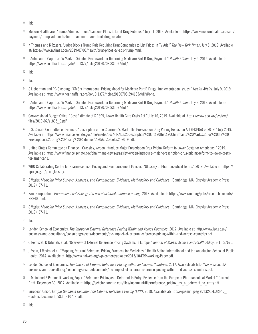- <sup>38</sup> Ibid.
- <sup>39</sup> Modern Healthcare. "Trump Administration Abandons Plans to Limit Drug Rebates." July 11, 2019. Available at: https://www.modernhealthcare.com/ payment/trump-administration-abandons-plans-limit-drug-rebates.
- <sup>40</sup> K Thomas and K Rogers. "Judge Blocks Trump Rule Requiring Drug Companies to List Prices in TV Ads." *The New York Times*. July 8, 2019. Available at: https://www.nytimes.com/2019/07/08/health/drug-prices-tv-ads-trump.html.
- <sup>41</sup> J Antos and J Capretta. "A Market-Oriented Framework for Reforming Medicare Part B Drug Payment." *Health Affairs*. July 9, 2019. Available at: https://www.healthaffairs.org/do/10.1377/hblog20190708.831097/full/.
- <sup>42</sup> Ibid.

<sup>43</sup> Ibid.

- <sup>44</sup> S Lieberman and PB Ginsburg. "CMS's International Pricing Model for Medicare Part B Drugs: Implementation Issues." *Health Affairs*. July 9, 2019. Available at: https://www.healthaffairs.org/do/10.1377/hblog20190708.294165/full/#one.
- <sup>45</sup> J Antos and J Capretta. "A Market-Oriented Framework for Reforming Medicare Part B Drug Payment." *Health Affairs*. July 9, 2019. Available at: https://www.healthaffairs.org/do/10.1377/hblog20190708.831097/full/.
- <sup>46</sup> Congressional Budget Office. "Cost Estimate of S.1895, Lower Health Care Costs Act." July 16, 2019. Available at: https://www.cbo.gov/system/ files/2019-07/s1895\_0.pdf.
- <sup>47</sup> U.S. Senate Committee on Finance. "Description of the Chairman's Mark: The Prescription Drug Pricing Reduction Act (PDPRA) of 2019." July 2019. Available at: https://www.finance.senate.gov/imo/media/doc/FINAL%20Description%20of%20the%20Chairman's%20Mark%20for%20the%20 Prescription%20Drug%20Pricing%20Reduction%20Act%20of%202019.pdf.
- <sup>48</sup> United States Committee on Finance. "Grassley, Wyden Introduce Major Prescription Drug Pricing Reform to Lower Costs for Americans." 2019. Available at: https://www.finance.senate.gov/chairmans-news/grassley-wyden-introduce-major-prescription-drug-pricing-reform-to-lower-costsfor-americans.
- <sup>49</sup> WHO Collaborating Centre for Pharmaceutical Pricing and Reimbursement Policies. "Glossary of Pharmaceutical Terms." 2019. Available at: https:// ppri.goeg.at/ppri-glossary.
- <sup>50</sup> S Vogler. *Medicine Price Surveys, Analyses, and Comparisons: Evidence, Methodology and Guidance*. (Cambridge, MA: Elsevier Academic Press, 2019), 37-41.
- 51 Rand Corporation. *Pharmaceutical Pricing: The use of external reference pricing*. 2013. Available at: https://www.rand.org/pubs/research\_reports/ RR240.html.
- <sup>52</sup> S Vogler. *Medicine Price Surveys, Analyses, and Comparisons: Evidence, Methodology and Guidance*. (Cambridge, MA: Elsevier Academic Press, 2019), 37-41.
- <sup>53</sup> Ibid.
- <sup>54</sup> London School of Economics. *The Impact of External Reference Pricing Within and Across Countries*. 2017. Available at: http://www.lse.ac.uk/ business-and-consultancy/consulting/assets/documents/the-impact-of-external-reference-pricing-within-and-across-countries.pdf.
- <sup>55</sup> C Remuzat, D Urbinati, et al. "Overview of External Reference Pricing Systems in Europe." *Journal of Market Access and Health Policy*. 3(1): 27675.
- <sup>56</sup> J Espin, J Rovira, et al. "Mapping External Reference Pricing Practices for Medicines." Health Action International and the Andalusian School of Public Health. 2014. Available at: http://www.haiweb.org/wp-content/uploads/2015/10/ERP-Working-Paper.pdf.
- <sup>57</sup> London School of Economics. *The Impact of External Reference Pricing within and across Countries*. 2017. Available at: http://www.lse.ac.uk/ business-and-consultancy/consulting/assets/documents/the-impact-of-external-reference-pricing-within-and-across-countries.pdf.
- <sup>58</sup> L Maini and F Pammolli. Working Paper. "Reference Pricing as a Deterrent to Entry: Evidence from the European Pharmaceutical Market." Current Draft. December 30, 2017. Available at: https://scholar.harvard.edu/files/lucamaini/files/reference\_pricing\_as\_a\_deterrent\_to\_entry.pdf.
- <sup>59</sup> European Union. *Euripid Guidance Document on External Reference Pricing (ERP)*. 2018. Available at: https://jasmin.goeg.at/432/1/EURIPID\_ GuidanceDocument\_V8.1\_310718.pdf.

<sup>60</sup> Ibid.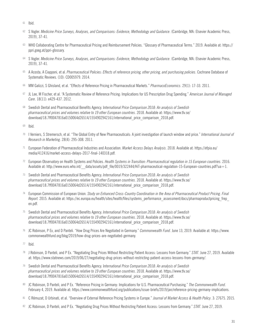- <sup>61</sup> Ibid.
- <sup>62</sup> S Vogler. *Medicine Price Surveys, Analyses, and Comparisons: Evidence, Methodology and Guidance*. (Cambridge, MA: Elsevier Academic Press, 2019), 37-41.
- <sup>63</sup> WHO Collaborating Centre for Pharmaceutical Pricing and Reimbursement Policies. "Glossary of Pharmaceutical Terms." 2019. Available at: https:// ppri.goeg.at/ppri-glossary.
- <sup>64</sup> S Vogler. *Medicine Price Surveys, Analyses, and Comparisons: Evidence, Methodology and Guidance*. (Cambridge, MA: Elsevier Academic Press, 2019), 37-41.
- <sup>65</sup> A Acosta, A Ciapponi, et al. *Pharmaceutical Policies: Effects of reference pricing, other pricing, and purchasing policies*. Cochrane Database of Systematic Reviews. (10): CD005979. 2014.
- <sup>66</sup> MM Galizzi, S Ghisland, et al. "Effects of Reference Pricing in Pharmaceutical Markets." *PharmacoEconomics*. 29(1): 17-33. 2011.
- <sup>67</sup> JL Lee, M Fischer, et al. "A Systematic Review of Reference Pricing: Implications for US Prescription Drug Spending." *American Journal of Managed Care*. 18(11): e429-437. 2012.
- <sup>68</sup> Swedish Dental and Pharmaceutical Benefits Agency. I*nternational Price Comparison 2018: An analysis of Swedish pharmaceutical prices and volumes relative to 19 other European countries*. 2018. Available at: https://www.tlv.se/ download/18.7ff0047816a0150064d26514/1554902942161/international\_price\_comparison\_2018.pdf.
- <sup>69</sup> Ibid.
- <sup>70</sup> I Verniers, S Stremersch, et al. "The Global Entry of New Pharmaceuticals: A joint investigation of launch window and price." *International Journal of Research in Marketing*. 28(4): 295-308. 2011.
- <sup>71</sup> European Federation of Pharmaceutical Industries and Association. *Market Access Delays Analysis*. 2018. Available at: https://efpia.eu/ media/412416/market-access-delays-2017-final-140318.pdf.
- <sup>72</sup> European Observatory on Health Systems and Policies. *Health Systems in Transition: Pharmaceutical regulation in 15 European countries*. 2016. Available at: http://www.euro.who.int/ data/assets/pdf file/0019/322444/HiT-pharmaceutical-regulation-15-European-countries.pdf?ua=1.
- <sup>73</sup> Swedish Dental and Pharmaceutical Benefits Agency. *International Price Comparison 2018: An analysis of Swedish pharmaceutical prices and volumes relative to 19 other European countries*. 2018. Available at: https://www.tlv.se/ download/18.7ff0047816a0150064d26514/1554902942161/international\_price\_comparison\_2018.pdf.
- <sup>74</sup> European Commission of European Union. *Study on Enhanced Cross-Country Coordination in the Area of Pharmaceutical Product Pricing*. *Final*  Report. 2015. Available at: https://ec.europa.eu/health/sites/health/files/systems\_performance\_assessment/docs/pharmaproductpricing\_frep en.pdf.
- <sup>75</sup> Swedish Dental and Pharmaceutical Benefits Agency. *International Price Comparison 2018: An analysis of Swedish pharmaceutical prices and volumes relative to 19 other European countries*. 2018. Available at: https://www.tlv.se/ download/18.7ff0047816a0150064d26514/1554902942161/international\_price\_comparison\_2018.pdf.
- <sup>76</sup> JC Robinson, P Ex, and D Panteli. "How Drug Prices Are Negotiated in Germany." *Commonwealth Fund*. June 13, 2019. Available at: https://www. commonwealthfund.org/blog/2019/how-drug-prices-are-negotiated-germany.
- <sup>77</sup> Ibid.
- <sup>78</sup> J Robinson, D Panteli, and P Ex. "Negotiating Drug Prices Without Restricting Patient Access: Lessons from Germany." *STAT*. June 27, 2019. Available at: https://www.statnews.com/2019/06/27/negotiating-drug-prices-without-restricting-patient-access-lessons-from-germany/.
- <sup>79</sup> Swedish Dental and Pharmaceutical Benefits Agency. I*nternational Price Comparison 2018: An analysis of Swedish pharmaceutical prices and volumes relative to 19 other European countries*. 2018. Available at: https://www.tlv.se/ download/18.7ff0047816a0150064d26514/1554902942161/international\_price\_comparison\_2018.pdf.
- <sup>80</sup> JC Robinson, D Panteli, and P Ex. "Reference Pricing in Germany: Implications for U.S. Pharmaceutical Purchasing." *The Commonwealth Fund*. February 4, 2019. Available at: https://www.commonwealthfund.org/publications/issue-briefs/2019/jan/reference-pricing-germany-implications.
- <sup>81</sup> C Rémuzat, D Urbinati, et al. "Overview of External Reference Pricing Systems in Europe." *Journal of Market Access & Health Policy*. 3: 27675. 2015.
- <sup>82</sup> JC Robinson, D Panteli, and P Ex. "Negotiating Drug Prices Without Restricting Patient Access: Lessons from Germany." *STAT*. June 27, 2019.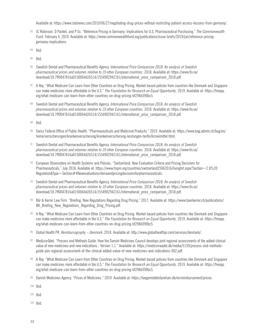Available at: https://www.statnews.com/2019/06/27/negotiating-drug-prices-without-restricting-patient-access-lessons-from-germany/.

- <sup>83</sup> JC Robinson, D Panteli, and P Ex. "Reference Pricing in Germany: Implications for U.S. Pharmaceutical Purchasing." *The Commonwealth Fund*. February 4, 2019. Available at: https://www.commonwealthfund.org/publications/issue-briefs/2019/jan/reference-pricinggermany-implications.
- <sup>84</sup> Ibid.
- <sup>85</sup> Ibid.
- <sup>86</sup> Swedish Dental and Pharmaceutical Benefits Agency. I*nternational Price Comparison 2018: An analysis of Swedish pharmaceutical prices and volumes relative to 19 other European countries*. 2018. Available at: https://www.tlv.se/ download/18.7ff0047816a0150064d26514/1554902942161/international\_price\_comparison\_2018.pdf.
- 87 A Roy. "What Medicare Can Learn from Other Countries on Drug Pricing: Market-based policies from countries like Denmark and Singapore can make medicines more affordable in the U.S." *The Foundation for Research on Equal Opportunity*. 2019. Available at: https://freopp. org/what-medicare-can-learn-from-other-countries-on-drug-pricing-bf298d390bc5.
- <sup>88</sup> Swedish Dental and Pharmaceutical Benefits Agency. *International Price Comparison 2018: An analysis of Swedish pharmaceutical prices and volumes relative to 19 other European countries*. 2018. Available at: https://www.tlv.se/ download/18.7ff0047816a0150064d26514/1554902942161/international\_price\_comparison\_2018.pdf.
- <sup>89</sup> Ibid.
- <sup>90</sup> Swiss Federal Office of Public Health. "Pharmaceuticals and Medicinal Products." 2019. Available at: https://www.bag.admin.ch/bag/en/ home/versicherungen/krankenversicherung/krankenversicherung-leistungen-tarife/Arzneimittel.html.
- <sup>91</sup> Swedish Dental and Pharmaceutical Benefits Agency. *International Price Comparison 2018: An analysis of Swedish pharmaceutical prices and volumes relative to 19 other European countries*. 2018. Available at: https://www.tlv.se/ download/18.7ff0047816a0150064d26514/1554902942161/international\_price\_comparison\_2018.pdf.
- 92 European Observatory on Health Systems and Policies. "Switzerland: New Evaluation Criteria and Pricing Decisions for Pharmaceuticals." July 2018. Available at: https://www.hspm.org/countries/switzerland25062016/livinghit.aspx?Section=2.8%20  $Regulation \& Type = Section \#4New evaluation criterion and principles.$
- <sup>93</sup> Swedish Dental and Pharmaceutical Benefits Agency. *International Price Comparison 2018: An analysis of Swedish pharmaceutical prices and volumes relative to 19 other European countries*. 2018. Available at: https://www.tlv.se/ download/18.7ff0047816a0150064d26514/1554902942161/international\_price\_comparison\_2018.pdf.
- <sup>94</sup> Bär & Karrer Law Firm. "Briefing: New Regulations Regarding Drug Pricing." 2017. Available at: https://www.baerkarrer.ch/publications/ BK Briefing New Regulations Regarding Drug Pricing.pdf.
- 95 A Roy. "What Medicare Can Learn from Other Countries on Drug Pricing: Market-based policies from countries like Denmark and Singapore can make medicines more affordable in the U.S." *The Foundation for Research on Equal Opportunity*. 2019. Available at: https://freopp. org/what-medicare-can-learn-from-other-countries-on-drug-pricing-bf298d390bc5.
- <sup>96</sup> Global Health PR. *Reimbursography Denmark*. 2018. Available at: http://www.globalhealthpr.com/services/denmark/.
- <sup>97</sup> Medicinrådet. "Process and Methods Guide: How the Danish Medicines Council develops joint regional assessments of the added clinical value of new medicines and new indications - Version 1.1." Available at: https://medicinraadet.dk/media/5139/process-and-methodsguide-join-regional-assessment-of-the-clinical-added-value-of-new-medicines-and-indications-002.pdf.
- 98 A Roy. "What Medicare Can Learn from Other Countries on Drug Pricing. Market-based policies from countries like Denmark and Singapore can make medicines more affordable in the U.S." *The Foundation for Research on Equal Opportunity*. 2019. Available at: https://freopp. org/what-medicare-can-learn-from-other-countries-on-drug-pricing-bf298d390bc5.
- <sup>99</sup> Danish Medicines Agency. "Prices of Medicines." 2019. Available at: https://laegemiddelstyrelsen.dk/en/reimbursement/prices.
- <sup>100</sup> Ibid.
- <sup>101</sup> Ibid.
- <sup>102</sup> Ibid.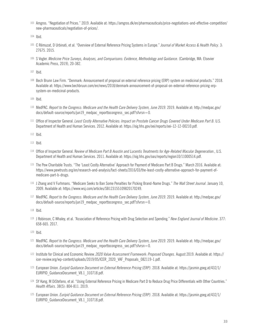<sup>103</sup> Amgros. "Negotiation of Prices." 2019. Available at: https://amgros.dk/en/pharmaceuticals/price-negotiations-and-effective-competition/ new-pharmaceuticals/negotiation-of-prices/.

- <sup>105</sup> C Rémuzat, D Urbinati, et al. "Overview of External Reference Pricing Systems in Europe." *Journal of Market Access & Health Policy*. 3: 27675. 2015.
- <sup>106</sup> S Vogler. *Medicine Price Surveys, Analyses, and Comparisons: Evidence, Methodology and Guidance*. (Cambridge, MA: Elsevier Academic Press, 2019), 20-382.

<sup>107</sup> Ibid.

<sup>108</sup> Bech Brunn Law Firm. "Denmark: Announcement of proposal on external reference pricing (ERP) system on medicinal products." 2018. Available at: https://www.bechbruun.com/en/news/2018/denmark-announcement-of-proposal-on-external-reference-pricing-erpsystem-on-medicinal-products.

<sup>109</sup> Ibid.

- <sup>110</sup> MedPAC. *Report to the Congress: Medicare and the Health Care Delivery System, June 2019*. 2019. Available at: http://medpac.gov/ docs/default-source/reports/jun19 medpac reporttocongress sec.pdf?sfvrsn=0.
- <sup>111</sup> Office of Inspector General. *Least Costly Alternative Policies: Impact on Prostate Cancer Drugs Covered Under Medicare Part B*. U.S. Department of Health and Human Services. 2012. Available at: https://oig.hhs.gov/oei/reports/oei-12-12-00210.pdf.

<sup>112</sup> Ibid.

<sup>113</sup> Ibid.

- <sup>114</sup> Office of Inspector General. R*eview of Medicare Part B Avastin and Lucentis Treatments for Age-Related Macular Degeneration*., U.S. Department of Health and Human Services. 2011. Available at: https://oig.hhs.gov/oas/reports/region10/11000514.pdf.
- <sup>115</sup> The Pew Charitable Trusts. "The 'Least Costly Alternative' Approach for Payment of Medicare Part B Drugs." March 2016. Available at: https://www.pewtrusts.org/en/research-and-analysis/fact-sheets/2016/03/the-least-costly-alternative-approach-for-payment-ofmedicare-part-b-drugs.
- <sup>116</sup> J Zhang and V Furhmans. "Medicare Seeks to Ban Some Penalties for Picking Brand-Name Drugs." *The Wall Street Journal*. January 10, 2009. Available at: https://www.wsj.com/articles/SB123155109820170249.
- <sup>117</sup> MedPAC. *Report to the Congress: Medicare and the Health Care Delivery System, June 2019*. 2019. Available at: http://medpac.gov/ docs/default-source/reports/jun19\_medpac\_reporttocongress\_sec.pdf?sfvrsn=0.

<sup>119</sup> J Robinson, C Whaley, et al. "Association of Reference Pricing with Drug Selection and Spending." *New England Journal of Medicine*. 377: 658-665. 2017.

<sup>120</sup> Ibid.

- <sup>121</sup> MedPAC. *Report to the Congress: Medicare and the Health Care Delivery System, June 2019*. 2019. Available at: http://medpac.gov/ docs/default-source/reports/jun19\_medpac\_reporttocongress\_sec.pdf?sfvrsn=0.
- <sup>122</sup> Institute for Clinical and Economic Review. *2020 Value Assessment Framework: Proposed Changes*. August 2019. Available at: https:// icer-review.org/wp-content/uploads/2019/05/ICER\_2020\_VAF\_Proposals\_082119-1.pdf.
- <sup>123</sup> European Union. *Euripid Guidance Document on External Reference Pricing (ERP)*. 2018. Available at: https://jasmin.goeg.at/432/1/ EURIPID\_GuidanceDocument\_V8.1\_310718.pdf.
- <sup>124</sup> SY Kang, M DiStefano, et al. "Using External Reference Pricing in Medicare Part D to Reduce Drug Price Differentials with Other Countries." *Health Affairs*. 38(5): 804-811. 2019.
- <sup>125</sup> European Union. *Euripid Guidance Document on External Reference Pricing (ERP)*. 2018. Available at: https://jasmin.goeg.at/432/1/ EURIPID\_GuidanceDocument\_V8.1\_310718.pdf.

<sup>104</sup> Ibid.

<sup>118</sup> Ibid.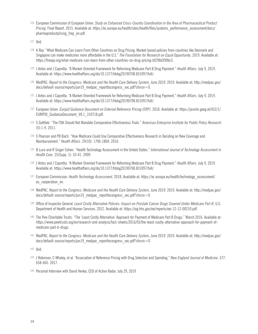- <sup>126</sup> European Commission of European Union. *Study on Enhanced Cross-Country Coordination in the Area of Pharmaceutical Product Pricing*. Final Report. 2015. Available at: https://ec.europa.eu/health/sites/health/files/systems\_performance\_assessment/docs/ pharmaproductpricing\_frep\_en.pdf.
- <sup>127</sup> Ibid.
- <sup>128</sup> A Roy. "What Medicare Can Learn From Other Countries on Drug Pricing. Market-based policies from countries like Denmark and Singapore can make medicines more affordable in the U.S." *The Foundation for Research on Equal Opportunity*. 2019. Available at: https://freopp.org/what-medicare-can-learn-from-other-countries-on-drug-pricing-bf298d390bc5.
- <sup>129</sup> J Antos and J Capretta. "A Market-Oriented Framework for Reforming Medicare Part B Drug Payment." *Health Affairs*. July 9, 2019. Available at: https://www.healthaffairs.org/do/10.1377/hblog20190708.831097/full/.
- <sup>130</sup> MedPAC. *Report to the Congress: Medicare and the Health Care Delivery System, June 2019.* 2019. Available at: http://medpac.gov/ docs/default-source/reports/jun19 medpac reporttocongress sec.pdf?sfvrsn=0.
- <sup>131</sup> J Antos and J Capretta. "A Market-Oriented Framework for Reforming Medicare Part B Drug Payment." *Health Affairs*. July 9, 2019. Available at: https://www.healthaffairs.org/do/10.1377/hblog20190708.831097/full/.
- <sup>132</sup> European Union. *Euripid Guidance Document on External Reference Pricing (ERP)*. 2018. Available at: https://jasmin.goeg.at/432/1/ EURIPID GuidanceDocument V8.1 310718.pdf.
- <sup>133</sup> S Gottlieb. "The FDA Should Not Mandate Comparative Effectiveness Trials." *American Enterprise Institute for Public Policy Research*. (5):1-9. 2011.
- <sup>134</sup> S Pearson and PB Bach. "How Medicare Could Use Comparative Effectiveness Research in Deciding on New Coverage and Reimbursement." *Health Affairs*. 29(10): 1796-1804. 2010.
- <sup>135</sup> B Luce and R Singer Cohen. "Health Technology Assessment in the United States." *International Journal of Technology Assessment in Health Care*. 25(Supp. 1): 33-41. 2009.
- <sup>136</sup> J Antos and J Capretta. "A Market-Oriented Framework for Reforming Medicare Part B Drug Payment." *Health Affairs*. July 9, 2019. Available at: https://www.healthaffairs.org/do/10.1377/hblog20190708.831097/full/.
- <sup>137</sup> European Commission. *Health Technology Assessment.* 2018. Available at: https://ec.europa.eu/health/technology\_assessment/ eu cooperation en.
- <sup>138</sup> MedPAC. *Report to the Congress: Medicare and the Health Care Delivery System, June 2019*. 2019. Available at: http://medpac.gov/ docs/default-source/reports/jun19 medpac reporttocongress sec.pdf?sfvrsn=0.
- <sup>139</sup> Office of Inspector General. *Least Costly Alternative Policies: Impact on Prostate Cancer Drugs Covered Under Medicare Part B*. U.S. Department of Health and Human Services. 2012. Available at: https://oig.hhs.gov/oei/reports/oei-12-12-00210.pdf.
- 140 The Pew Charitable Trusts. "The 'Least Costly Alternative' Approach for Payment of Medicare Part B Drugs." March 2016. Available at: https://www.pewtrusts.org/en/research-and-analysis/fact-sheets/2016/03/the-least-costly-alternative-approach-for-payment-ofmedicare-part-b-drugs.
- <sup>141</sup> MedPAC. *Report to the Congress: Medicare and the Health Care Delivery System, June 2019*. 2019. Available at: http://medpac.gov/ docs/default-source/reports/jun19 medpac reporttocongress sec.pdf?sfvrsn=0.

<sup>142</sup> Ibid.

- <sup>143</sup> J Robinson, C Whaley, et al. "Association of Reference Pricing with Drug Selection and Spending." *New England Journal of Medicine*. 377: 658-665. 2017.
- <sup>144</sup> Personal Interview with David Henka, CEO of Active Radar. July 29, 2019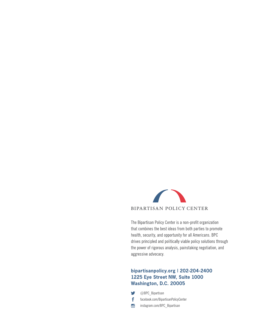

The Bipartisan Policy Center is a non-profit organization that combines the best ideas from both parties to promote health, security, and opportunity for all Americans. BPC drives principled and politically viable policy solutions through the power of rigorous analysis, painstaking negotiation, and aggressive advocacy.

#### bipartisanpolicy.org | 202-204-2400 1225 Eye Street NW, Suite 1000 Washington, D.C. 20005

- $\bullet$ @BPC\_Bipartisan
- $\mathbf{f}$ facebook.com/BipartisanPolicyCenter
- $\bullet$ instagram.com/BPC\_Bipartisan